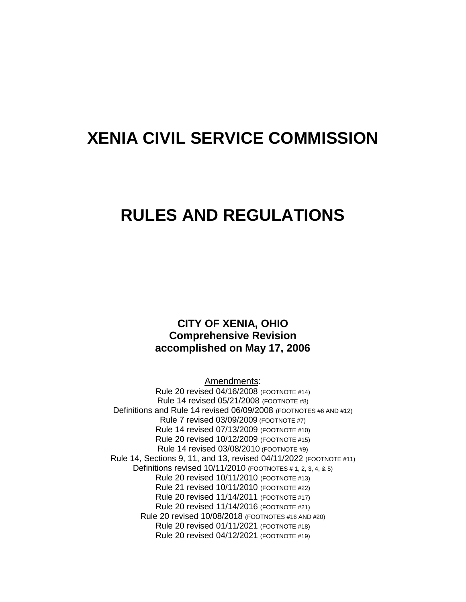# **XENIA CIVIL SERVICE COMMISSION**

# **RULES AND REGULATIONS**

# **CITY OF XENIA, OHIO Comprehensive Revision accomplished on May 17, 2006**

Amendments:

Rule 20 revised 04/16/2008 (FOOTNOTE #14) Rule 14 revised 05/21/2008 (FOOTNOTE #8) Definitions and Rule 14 revised 06/09/2008 (FOOTNOTES #6 AND #12) Rule 7 revised 03/09/2009 (FOOTNOTE #7) Rule 14 revised 07/13/2009 (FOOTNOTE #10) Rule 20 revised 10/12/2009 (FOOTNOTE #15) Rule 14 revised 03/08/2010 (FOOTNOTE #9) Rule 14, Sections 9, 11, and 13, revised 04/11/2022 (FOOTNOTE #11) Definitions revised 10/11/2010 (FOOTNOTES # 1, 2, 3, 4, & 5) Rule 20 revised 10/11/2010 (FOOTNOTE #13) Rule 21 revised 10/11/2010 (FOOTNOTE #22) Rule 20 revised 11/14/2011 (FOOTNOTE #17) Rule 20 revised 11/14/2016 (FOOTNOTE #21) Rule 20 revised 10/08/2018 (FOOTNOTES #16 AND #20) Rule 20 revised 01/11/2021 (FOOTNOTE #18) Rule 20 revised 04/12/2021 (FOOTNOTE #19)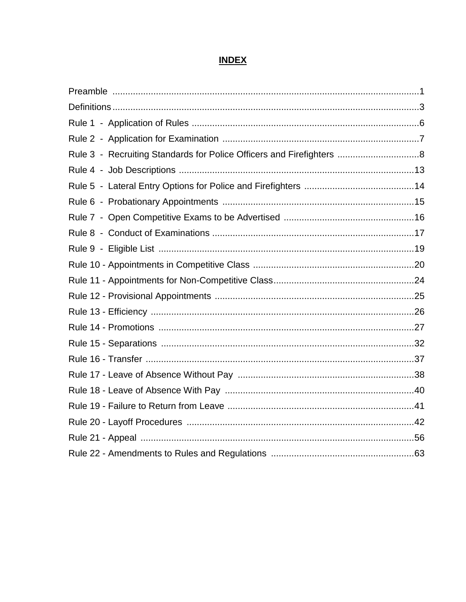# **INDEX**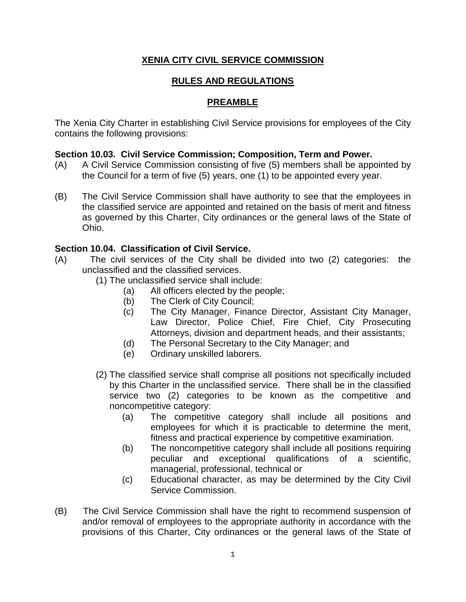# **XENIA CITY CIVIL SERVICE COMMISSION**

# **RULES AND REGULATIONS**

# **PREAMBLE**

The Xenia City Charter in establishing Civil Service provisions for employees of the City contains the following provisions:

# **Section 10.03. Civil Service Commission; Composition, Term and Power.**

- (A) A Civil Service Commission consisting of five (5) members shall be appointed by the Council for a term of five (5) years, one (1) to be appointed every year.
- (B) The Civil Service Commission shall have authority to see that the employees in the classified service are appointed and retained on the basis of merit and fitness as governed by this Charter, City ordinances or the general laws of the State of Ohio.

# **Section 10.04. Classification of Civil Service.**

- (A) The civil services of the City shall be divided into two (2) categories: the unclassified and the classified services.
	- (1) The unclassified service shall include:
		- (a) All officers elected by the people;
		- (b) The Clerk of City Council;
		- (c) The City Manager, Finance Director, Assistant City Manager, Law Director, Police Chief, Fire Chief, City Prosecuting Attorneys, division and department heads, and their assistants;
		- (d) The Personal Secretary to the City Manager; and
		- (e) Ordinary unskilled laborers.
	- (2) The classified service shall comprise all positions not specifically included by this Charter in the unclassified service. There shall be in the classified service two (2) categories to be known as the competitive and noncompetitive category:
		- (a) The competitive category shall include all positions and employees for which it is practicable to determine the merit, fitness and practical experience by competitive examination.
		- (b) The noncompetitive category shall include all positions requiring peculiar and exceptional qualifications of a scientific, managerial, professional, technical or
		- (c) Educational character, as may be determined by the City Civil Service Commission.
- (B) The Civil Service Commission shall have the right to recommend suspension of and/or removal of employees to the appropriate authority in accordance with the provisions of this Charter, City ordinances or the general laws of the State of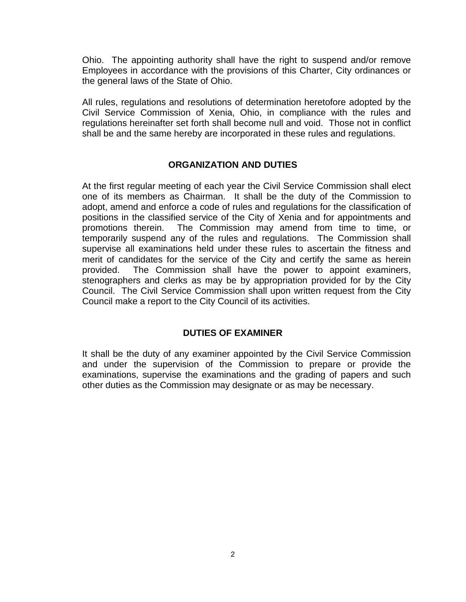Ohio. The appointing authority shall have the right to suspend and/or remove Employees in accordance with the provisions of this Charter, City ordinances or the general laws of the State of Ohio.

All rules, regulations and resolutions of determination heretofore adopted by the Civil Service Commission of Xenia, Ohio, in compliance with the rules and regulations hereinafter set forth shall become null and void. Those not in conflict shall be and the same hereby are incorporated in these rules and regulations.

# **ORGANIZATION AND DUTIES**

At the first regular meeting of each year the Civil Service Commission shall elect one of its members as Chairman. It shall be the duty of the Commission to adopt, amend and enforce a code of rules and regulations for the classification of positions in the classified service of the City of Xenia and for appointments and promotions therein. The Commission may amend from time to time, or temporarily suspend any of the rules and regulations. The Commission shall supervise all examinations held under these rules to ascertain the fitness and merit of candidates for the service of the City and certify the same as herein provided. The Commission shall have the power to appoint examiners, stenographers and clerks as may be by appropriation provided for by the City Council. The Civil Service Commission shall upon written request from the City Council make a report to the City Council of its activities.

# **DUTIES OF EXAMINER**

It shall be the duty of any examiner appointed by the Civil Service Commission and under the supervision of the Commission to prepare or provide the examinations, supervise the examinations and the grading of papers and such other duties as the Commission may designate or as may be necessary.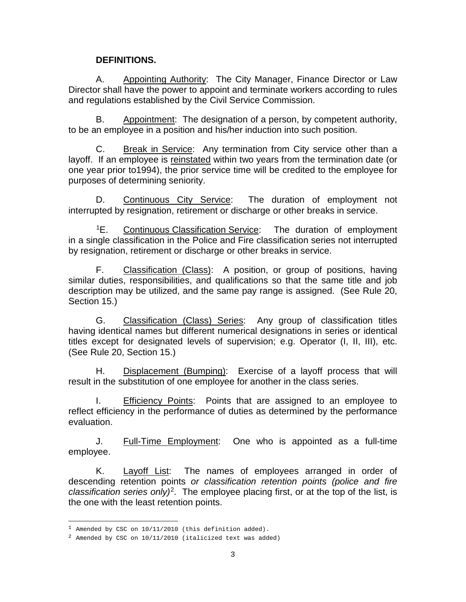## **DEFINITIONS.**

A. Appointing Authority: The City Manager, Finance Director or Law Director shall have the power to appoint and terminate workers according to rules and regulations established by the Civil Service Commission.

B. Appointment: The designation of a person, by competent authority, to be an employee in a position and his/her induction into such position.

C. Break in Service: Any termination from City service other than a layoff. If an employee is reinstated within two years from the termination date (or one year prior to1994), the prior service time will be credited to the employee for purposes of determining seniority.

D. Continuous City Service: The duration of employment not interrupted by resignation, retirement or discharge or other breaks in service.

[1E](#page-4-0). Continuous Classification Service: The duration of employment in a single classification in the Police and Fire classification series not interrupted by resignation, retirement or discharge or other breaks in service.

F. Classification (Class): A position, or group of positions, having similar duties, responsibilities, and qualifications so that the same title and job description may be utilized, and the same pay range is assigned. (See Rule 20, Section 15.)

G. Classification (Class) Series: Any group of classification titles having identical names but different numerical designations in series or identical titles except for designated levels of supervision; e.g. Operator (I, II, III), etc. (See Rule 20, Section 15.)

H. Displacement (Bumping): Exercise of a layoff process that will result in the substitution of one employee for another in the class series.

I. Efficiency Points: Points that are assigned to an employee to reflect efficiency in the performance of duties as determined by the performance evaluation.

J. Full-Time Employment: One who is appointed as a full-time employee.

K. Layoff List: The names of employees arranged in order of descending retention points *or classification retention points (police and fire classification series only)*[2.](#page-4-1) The employee placing first, or at the top of the list, is the one with the least retention points.

ł

<span id="page-4-0"></span> $^1$  Amended by CSC on  $10/11/2010$  (this definition added).

<span id="page-4-1"></span><sup>2</sup> Amended by CSC on 10/11/2010 (italicized text was added)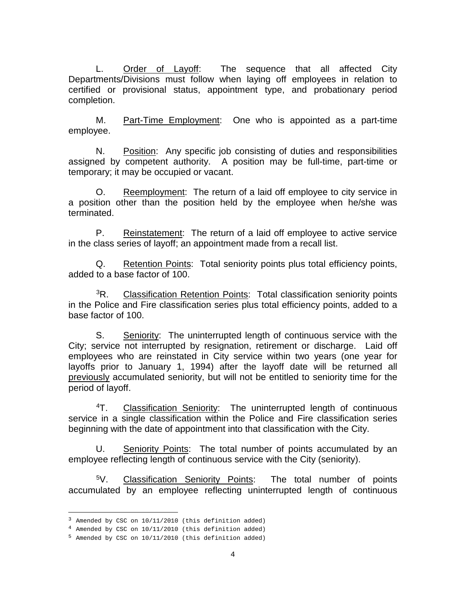L. Order of Layoff: The sequence that all affected City Departments/Divisions must follow when laying off employees in relation to certified or provisional status, appointment type, and probationary period completion.

M. Part-Time Employment: One who is appointed as a part-time employee.

N. Position: Any specific job consisting of duties and responsibilities assigned by competent authority. A position may be full-time, part-time or temporary; it may be occupied or vacant.

O. Reemployment: The return of a laid off employee to city service in a position other than the position held by the employee when he/she was terminated.

P. Reinstatement: The return of a laid off employee to active service in the class series of layoff; an appointment made from a recall list.

Q. Retention Points: Total seniority points plus total efficiency points, added to a base factor of 100.

<sup>3</sup>R. Classification Retention Points: Total classification seniority points in the Police and Fire classification series plus total efficiency points, added to a base factor of 100.

S. Seniority: The uninterrupted length of continuous service with the City; service not interrupted by resignation, retirement or discharge. Laid off employees who are reinstated in City service within two years (one year for layoffs prior to January 1, 1994) after the layoff date will be returned all previously accumulated seniority, but will not be entitled to seniority time for the period of layoff.

[4T](#page-5-1). Classification Seniority: The uninterrupted length of continuous service in a single classification within the Police and Fire classification series beginning with the date of appointment into that classification with the City.

U. Seniority Points: The total number of points accumulated by an employee reflecting length of continuous service with the City (seniority).

[5V](#page-5-2). Classification Seniority Points: The total number of points accumulated by an employee reflecting uninterrupted length of continuous

<span id="page-5-0"></span><sup>&</sup>lt;sup>3</sup> Amended by CSC on 10/11/2010 (this definition added)

<span id="page-5-1"></span><sup>4</sup> Amended by CSC on 10/11/2010 (this definition added)

<span id="page-5-2"></span><sup>5</sup> Amended by CSC on 10/11/2010 (this definition added)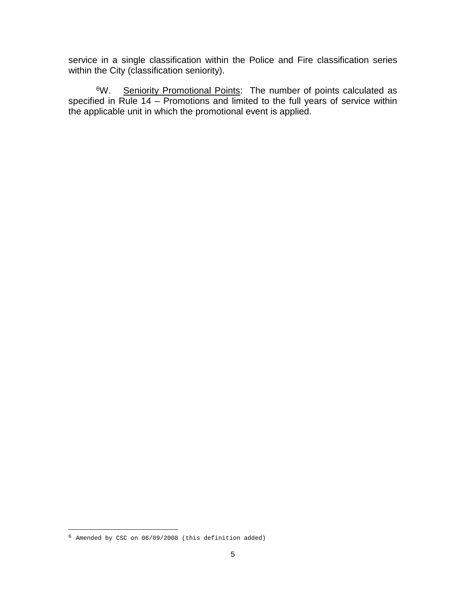service in a single classification within the Police and Fire classification series within the City (classification seniority).

<sup>6</sup>W. Seniority Promotional Points: The number of points calculated as specified in Rule 14 – Promotions and limited to the full years of service within the applicable unit in which the promotional event is applied.

ł

<span id="page-6-0"></span><sup>6</sup> Amended by CSC on 06/09/2008 (this definition added)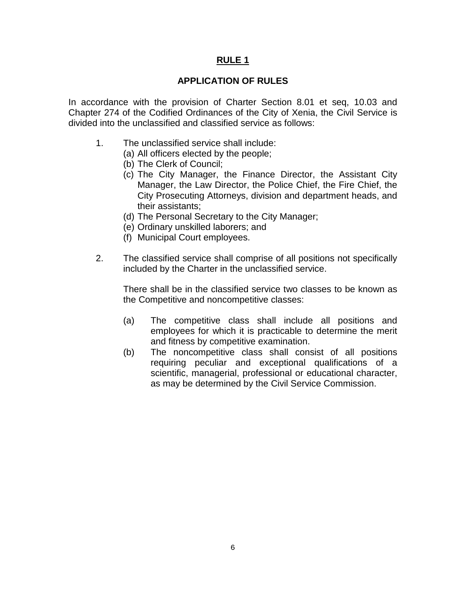# **APPLICATION OF RULES**

In accordance with the provision of Charter Section 8.01 et seq, 10.03 and Chapter 274 of the Codified Ordinances of the City of Xenia, the Civil Service is divided into the unclassified and classified service as follows:

- 1. The unclassified service shall include:
	- (a) All officers elected by the people;
	- (b) The Clerk of Council;
	- (c) The City Manager, the Finance Director, the Assistant City Manager, the Law Director, the Police Chief, the Fire Chief, the City Prosecuting Attorneys, division and department heads, and their assistants;
	- (d) The Personal Secretary to the City Manager;
	- (e) Ordinary unskilled laborers; and
	- (f) Municipal Court employees.
- 2. The classified service shall comprise of all positions not specifically included by the Charter in the unclassified service.

There shall be in the classified service two classes to be known as the Competitive and noncompetitive classes:

- (a) The competitive class shall include all positions and employees for which it is practicable to determine the merit and fitness by competitive examination.
- (b) The noncompetitive class shall consist of all positions requiring peculiar and exceptional qualifications of a scientific, managerial, professional or educational character, as may be determined by the Civil Service Commission.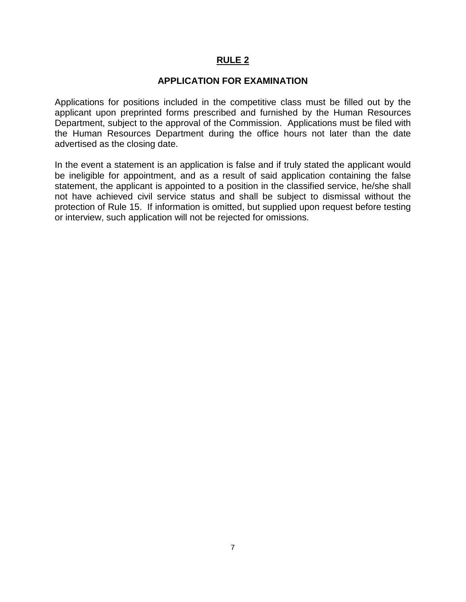# **APPLICATION FOR EXAMINATION**

Applications for positions included in the competitive class must be filled out by the applicant upon preprinted forms prescribed and furnished by the Human Resources Department, subject to the approval of the Commission. Applications must be filed with the Human Resources Department during the office hours not later than the date advertised as the closing date.

In the event a statement is an application is false and if truly stated the applicant would be ineligible for appointment, and as a result of said application containing the false statement, the applicant is appointed to a position in the classified service, he/she shall not have achieved civil service status and shall be subject to dismissal without the protection of Rule 15. If information is omitted, but supplied upon request before testing or interview, such application will not be rejected for omissions.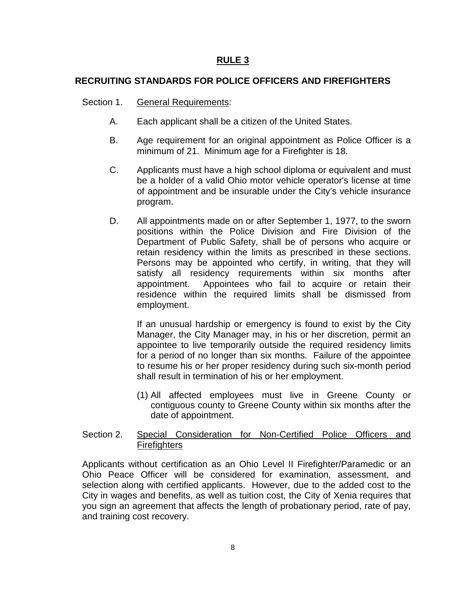# **RECRUITING STANDARDS FOR POLICE OFFICERS AND FIREFIGHTERS**

## Section 1. General Requirements:

- A. Each applicant shall be a citizen of the United States.
- B. Age requirement for an original appointment as Police Officer is a minimum of 21. Minimum age for a Firefighter is 18.
- C. Applicants must have a high school diploma or equivalent and must be a holder of a valid Ohio motor vehicle operator's license at time of appointment and be insurable under the City's vehicle insurance program.
- D. All appointments made on or after September 1, 1977, to the sworn positions within the Police Division and Fire Division of the Department of Public Safety, shall be of persons who acquire or retain residency within the limits as prescribed in these sections. Persons may be appointed who certify, in writing, that they will satisfy all residency requirements within six months after appointment. Appointees who fail to acquire or retain their residence within the required limits shall be dismissed from employment.

If an unusual hardship or emergency is found to exist by the City Manager, the City Manager may, in his or her discretion, permit an appointee to live temporarily outside the required residency limits for a period of no longer than six months. Failure of the appointee to resume his or her proper residency during such six-month period shall result in termination of his or her employment.

(1) All affected employees must live in Greene County or contiguous county to Greene County within six months after the date of appointment.

# Section 2. Special Consideration for Non-Certified Police Officers and **Firefighters**

Applicants without certification as an Ohio Level II Firefighter/Paramedic or an Ohio Peace Officer will be considered for examination, assessment, and selection along with certified applicants. However, due to the added cost to the City in wages and benefits, as well as tuition cost, the City of Xenia requires that you sign an agreement that affects the length of probationary period, rate of pay, and training cost recovery.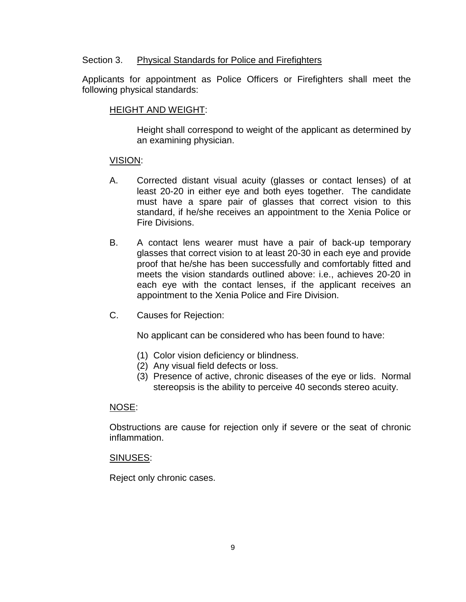# Section 3. Physical Standards for Police and Firefighters

Applicants for appointment as Police Officers or Firefighters shall meet the following physical standards:

# HEIGHT AND WEIGHT:

Height shall correspond to weight of the applicant as determined by an examining physician.

# VISION:

- A. Corrected distant visual acuity (glasses or contact lenses) of at least 20-20 in either eye and both eyes together. The candidate must have a spare pair of glasses that correct vision to this standard, if he/she receives an appointment to the Xenia Police or Fire Divisions.
- B. A contact lens wearer must have a pair of back-up temporary glasses that correct vision to at least 20-30 in each eye and provide proof that he/she has been successfully and comfortably fitted and meets the vision standards outlined above: i.e., achieves 20-20 in each eye with the contact lenses, if the applicant receives an appointment to the Xenia Police and Fire Division.
- C. Causes for Rejection:

No applicant can be considered who has been found to have:

- (1) Color vision deficiency or blindness.
- (2) Any visual field defects or loss.
- (3) Presence of active, chronic diseases of the eye or lids. Normal stereopsis is the ability to perceive 40 seconds stereo acuity.

#### NOSE:

Obstructions are cause for rejection only if severe or the seat of chronic inflammation.

#### SINUSES:

Reject only chronic cases.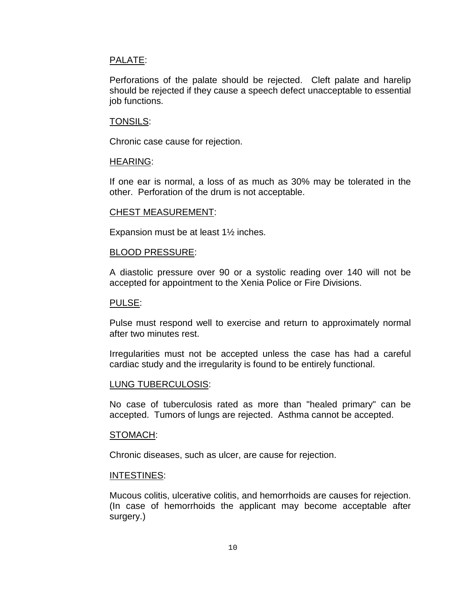#### PALATE:

Perforations of the palate should be rejected. Cleft palate and harelip should be rejected if they cause a speech defect unacceptable to essential job functions.

#### TONSILS:

Chronic case cause for rejection.

#### HEARING:

If one ear is normal, a loss of as much as 30% may be tolerated in the other. Perforation of the drum is not acceptable.

#### CHEST MEASUREMENT:

Expansion must be at least 1½ inches.

#### BLOOD PRESSURE:

A diastolic pressure over 90 or a systolic reading over 140 will not be accepted for appointment to the Xenia Police or Fire Divisions.

#### PULSE:

Pulse must respond well to exercise and return to approximately normal after two minutes rest.

Irregularities must not be accepted unless the case has had a careful cardiac study and the irregularity is found to be entirely functional.

#### LUNG TUBERCULOSIS:

No case of tuberculosis rated as more than "healed primary" can be accepted. Tumors of lungs are rejected. Asthma cannot be accepted.

#### STOMACH:

Chronic diseases, such as ulcer, are cause for rejection.

#### INTESTINES:

Mucous colitis, ulcerative colitis, and hemorrhoids are causes for rejection. (In case of hemorrhoids the applicant may become acceptable after surgery.)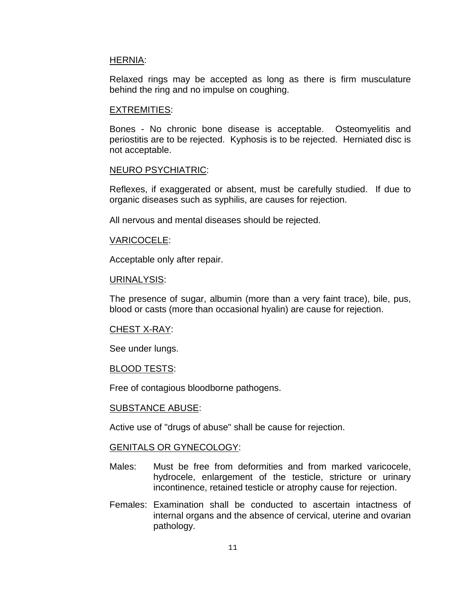#### HERNIA:

Relaxed rings may be accepted as long as there is firm musculature behind the ring and no impulse on coughing.

#### EXTREMITIES:

Bones - No chronic bone disease is acceptable. Osteomyelitis and periostitis are to be rejected. Kyphosis is to be rejected. Herniated disc is not acceptable.

#### NEURO PSYCHIATRIC:

Reflexes, if exaggerated or absent, must be carefully studied. If due to organic diseases such as syphilis, are causes for rejection.

All nervous and mental diseases should be rejected.

#### VARICOCELE:

Acceptable only after repair.

#### URINALYSIS:

The presence of sugar, albumin (more than a very faint trace), bile, pus, blood or casts (more than occasional hyalin) are cause for rejection.

#### CHEST X-RAY:

See under lungs.

#### BLOOD TESTS:

Free of contagious bloodborne pathogens.

#### SUBSTANCE ABUSE:

Active use of "drugs of abuse" shall be cause for rejection.

#### GENITALS OR GYNECOLOGY:

- Males: Must be free from deformities and from marked varicocele, hydrocele, enlargement of the testicle, stricture or urinary incontinence, retained testicle or atrophy cause for rejection.
- Females: Examination shall be conducted to ascertain intactness of internal organs and the absence of cervical, uterine and ovarian pathology.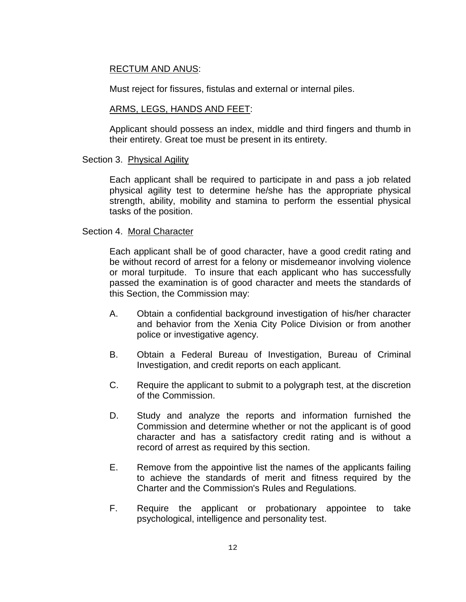# RECTUM AND ANUS:

Must reject for fissures, fistulas and external or internal piles.

#### ARMS, LEGS, HANDS AND FEET:

Applicant should possess an index, middle and third fingers and thumb in their entirety. Great toe must be present in its entirety.

#### Section 3. Physical Agility

Each applicant shall be required to participate in and pass a job related physical agility test to determine he/she has the appropriate physical strength, ability, mobility and stamina to perform the essential physical tasks of the position.

#### Section 4. Moral Character

Each applicant shall be of good character, have a good credit rating and be without record of arrest for a felony or misdemeanor involving violence or moral turpitude. To insure that each applicant who has successfully passed the examination is of good character and meets the standards of this Section, the Commission may:

- A. Obtain a confidential background investigation of his/her character and behavior from the Xenia City Police Division or from another police or investigative agency.
- B. Obtain a Federal Bureau of Investigation, Bureau of Criminal Investigation, and credit reports on each applicant.
- C. Require the applicant to submit to a polygraph test, at the discretion of the Commission.
- D. Study and analyze the reports and information furnished the Commission and determine whether or not the applicant is of good character and has a satisfactory credit rating and is without a record of arrest as required by this section.
- E. Remove from the appointive list the names of the applicants failing to achieve the standards of merit and fitness required by the Charter and the Commission's Rules and Regulations.
- F. Require the applicant or probationary appointee to take psychological, intelligence and personality test.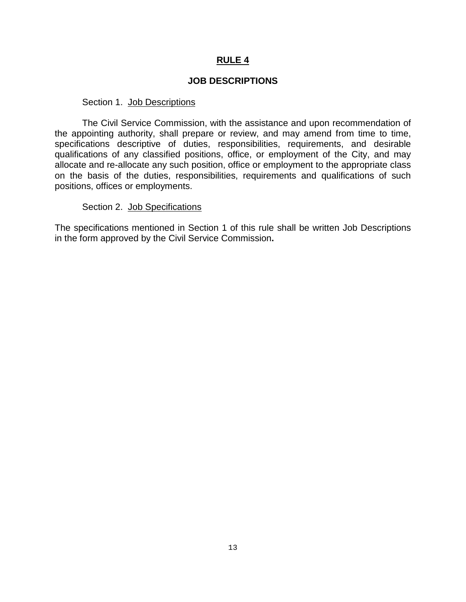# **JOB DESCRIPTIONS**

#### Section 1. Job Descriptions

The Civil Service Commission, with the assistance and upon recommendation of the appointing authority, shall prepare or review, and may amend from time to time, specifications descriptive of duties, responsibilities, requirements, and desirable qualifications of any classified positions, office, or employment of the City, and may allocate and re-allocate any such position, office or employment to the appropriate class on the basis of the duties, responsibilities, requirements and qualifications of such positions, offices or employments.

#### Section 2. Job Specifications

The specifications mentioned in Section 1 of this rule shall be written Job Descriptions in the form approved by the Civil Service Commission**.**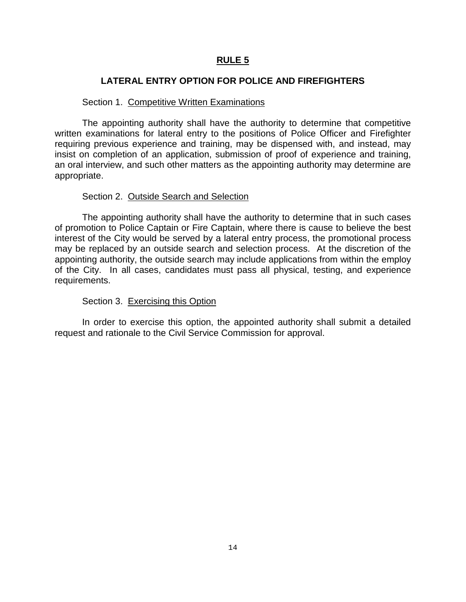# **LATERAL ENTRY OPTION FOR POLICE AND FIREFIGHTERS**

# Section 1. Competitive Written Examinations

The appointing authority shall have the authority to determine that competitive written examinations for lateral entry to the positions of Police Officer and Firefighter requiring previous experience and training, may be dispensed with, and instead, may insist on completion of an application, submission of proof of experience and training, an oral interview, and such other matters as the appointing authority may determine are appropriate.

# Section 2. Outside Search and Selection

The appointing authority shall have the authority to determine that in such cases of promotion to Police Captain or Fire Captain, where there is cause to believe the best interest of the City would be served by a lateral entry process, the promotional process may be replaced by an outside search and selection process. At the discretion of the appointing authority, the outside search may include applications from within the employ of the City. In all cases, candidates must pass all physical, testing, and experience requirements.

# Section 3. Exercising this Option

In order to exercise this option, the appointed authority shall submit a detailed request and rationale to the Civil Service Commission for approval.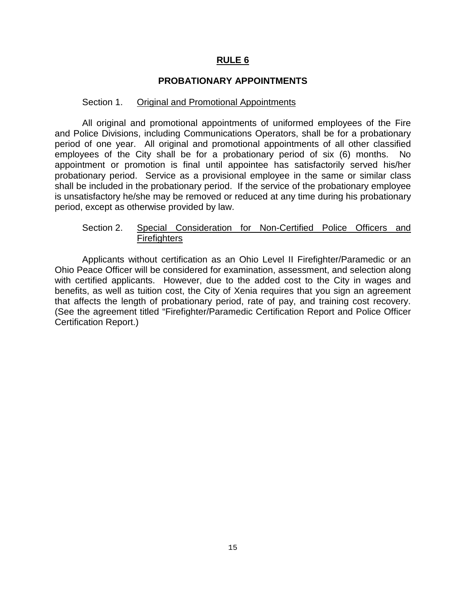# **PROBATIONARY APPOINTMENTS**

#### Section 1. Original and Promotional Appointments

All original and promotional appointments of uniformed employees of the Fire and Police Divisions, including Communications Operators, shall be for a probationary period of one year. All original and promotional appointments of all other classified employees of the City shall be for a probationary period of six (6) months. No appointment or promotion is final until appointee has satisfactorily served his/her probationary period. Service as a provisional employee in the same or similar class shall be included in the probationary period. If the service of the probationary employee is unsatisfactory he/she may be removed or reduced at any time during his probationary period, except as otherwise provided by law.

# Section 2. Special Consideration for Non-Certified Police Officers and **Firefighters**

Applicants without certification as an Ohio Level II Firefighter/Paramedic or an Ohio Peace Officer will be considered for examination, assessment, and selection along with certified applicants. However, due to the added cost to the City in wages and benefits, as well as tuition cost, the City of Xenia requires that you sign an agreement that affects the length of probationary period, rate of pay, and training cost recovery. (See the agreement titled "Firefighter/Paramedic Certification Report and Police Officer Certification Report.)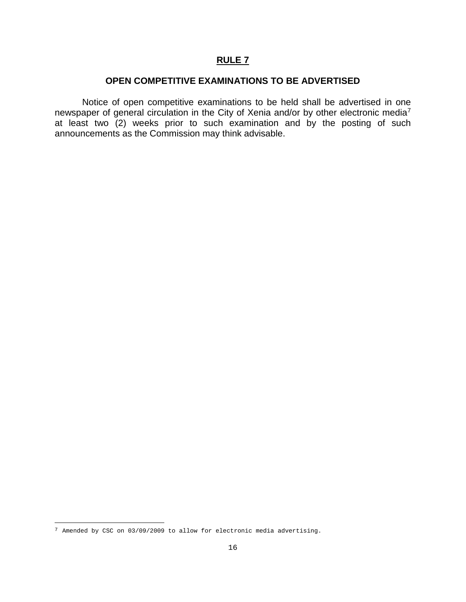## **OPEN COMPETITIVE EXAMINATIONS TO BE ADVERTISED**

Notice of open competitive examinations to be held shall be advertised in one newspaper of general circulation in the City of Xenia and/or by other electronic media<sup>[7](#page-17-0)</sup> at least two (2) weeks prior to such examination and by the posting of such announcements as the Commission may think advisable.

ł

<span id="page-17-0"></span> $^7$  Amended by CSC on 03/09/2009 to allow for electronic media advertising.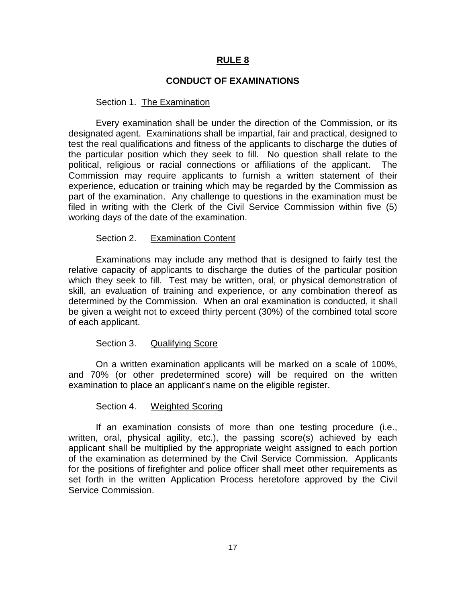#### **CONDUCT OF EXAMINATIONS**

#### Section 1. The Examination

Every examination shall be under the direction of the Commission, or its designated agent. Examinations shall be impartial, fair and practical, designed to test the real qualifications and fitness of the applicants to discharge the duties of the particular position which they seek to fill. No question shall relate to the political, religious or racial connections or affiliations of the applicant. The Commission may require applicants to furnish a written statement of their experience, education or training which may be regarded by the Commission as part of the examination. Any challenge to questions in the examination must be filed in writing with the Clerk of the Civil Service Commission within five (5) working days of the date of the examination.

#### Section 2. Examination Content

Examinations may include any method that is designed to fairly test the relative capacity of applicants to discharge the duties of the particular position which they seek to fill. Test may be written, oral, or physical demonstration of skill, an evaluation of training and experience, or any combination thereof as determined by the Commission. When an oral examination is conducted, it shall be given a weight not to exceed thirty percent (30%) of the combined total score of each applicant.

#### Section 3. Qualifying Score

On a written examination applicants will be marked on a scale of 100%, and 70% (or other predetermined score) will be required on the written examination to place an applicant's name on the eligible register.

#### Section 4. Weighted Scoring

If an examination consists of more than one testing procedure (i.e., written, oral, physical agility, etc.), the passing score(s) achieved by each applicant shall be multiplied by the appropriate weight assigned to each portion of the examination as determined by the Civil Service Commission. Applicants for the positions of firefighter and police officer shall meet other requirements as set forth in the written Application Process heretofore approved by the Civil Service Commission.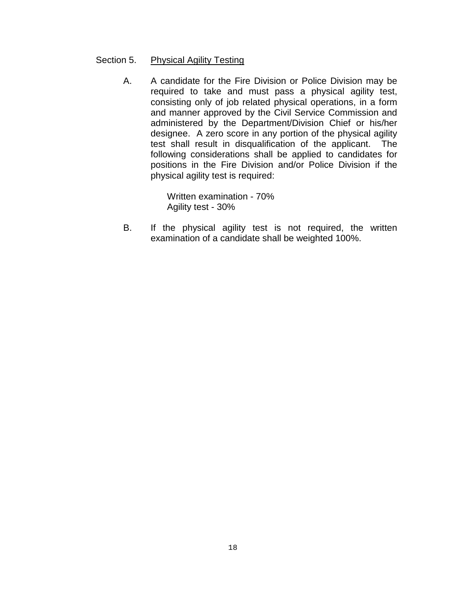#### Section 5. Physical Agility Testing

A. A candidate for the Fire Division or Police Division may be required to take and must pass a physical agility test, consisting only of job related physical operations, in a form and manner approved by the Civil Service Commission and administered by the Department/Division Chief or his/her designee. A zero score in any portion of the physical agility test shall result in disqualification of the applicant. The following considerations shall be applied to candidates for positions in the Fire Division and/or Police Division if the physical agility test is required:

> Written examination - 70% Agility test - 30%

B. If the physical agility test is not required, the written examination of a candidate shall be weighted 100%.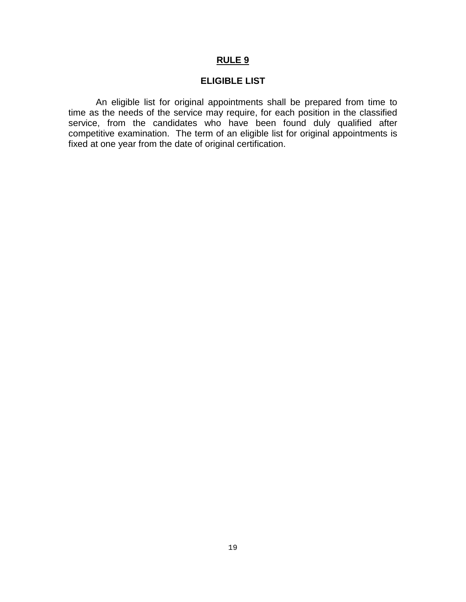### **ELIGIBLE LIST**

An eligible list for original appointments shall be prepared from time to time as the needs of the service may require, for each position in the classified service, from the candidates who have been found duly qualified after competitive examination. The term of an eligible list for original appointments is fixed at one year from the date of original certification.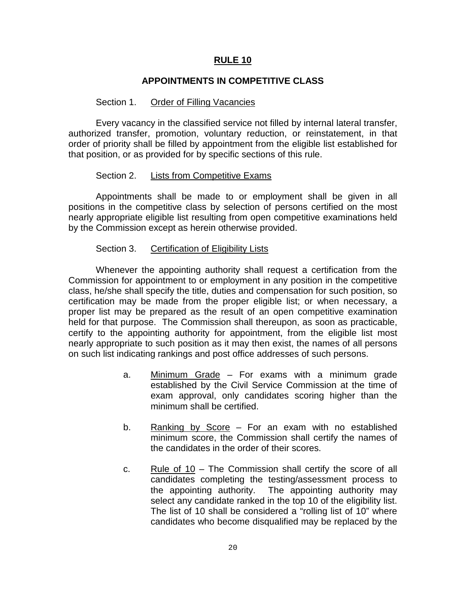# **APPOINTMENTS IN COMPETITIVE CLASS**

#### Section 1. Order of Filling Vacancies

Every vacancy in the classified service not filled by internal lateral transfer, authorized transfer, promotion, voluntary reduction, or reinstatement, in that order of priority shall be filled by appointment from the eligible list established for that position, or as provided for by specific sections of this rule.

#### Section 2. Lists from Competitive Exams

Appointments shall be made to or employment shall be given in all positions in the competitive class by selection of persons certified on the most nearly appropriate eligible list resulting from open competitive examinations held by the Commission except as herein otherwise provided.

#### Section 3. Certification of Eligibility Lists

Whenever the appointing authority shall request a certification from the Commission for appointment to or employment in any position in the competitive class, he/she shall specify the title, duties and compensation for such position, so certification may be made from the proper eligible list; or when necessary, a proper list may be prepared as the result of an open competitive examination held for that purpose. The Commission shall thereupon, as soon as practicable, certify to the appointing authority for appointment, from the eligible list most nearly appropriate to such position as it may then exist, the names of all persons on such list indicating rankings and post office addresses of such persons.

- a. Minimum Grade For exams with a minimum grade established by the Civil Service Commission at the time of exam approval, only candidates scoring higher than the minimum shall be certified.
- b. Ranking by Score For an exam with no established minimum score, the Commission shall certify the names of the candidates in the order of their scores.
- c. Rule of 10 The Commission shall certify the score of all candidates completing the testing/assessment process to the appointing authority. The appointing authority may select any candidate ranked in the top 10 of the eligibility list. The list of 10 shall be considered a "rolling list of 10" where candidates who become disqualified may be replaced by the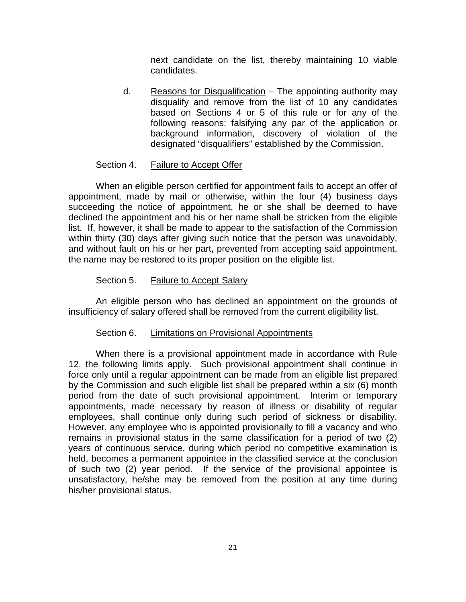next candidate on the list, thereby maintaining 10 viable candidates.

d. Reasons for Disqualification – The appointing authority may disqualify and remove from the list of 10 any candidates based on Sections 4 or 5 of this rule or for any of the following reasons: falsifying any par of the application or background information, discovery of violation of the designated "disqualifiers" established by the Commission.

# Section 4. Failure to Accept Offer

When an eligible person certified for appointment fails to accept an offer of appointment, made by mail or otherwise, within the four (4) business days succeeding the notice of appointment, he or she shall be deemed to have declined the appointment and his or her name shall be stricken from the eligible list. If, however, it shall be made to appear to the satisfaction of the Commission within thirty (30) days after giving such notice that the person was unavoidably, and without fault on his or her part, prevented from accepting said appointment, the name may be restored to its proper position on the eligible list.

# Section 5. Failure to Accept Salary

An eligible person who has declined an appointment on the grounds of insufficiency of salary offered shall be removed from the current eligibility list.

#### Section 6. Limitations on Provisional Appointments

When there is a provisional appointment made in accordance with Rule 12, the following limits apply. Such provisional appointment shall continue in force only until a regular appointment can be made from an eligible list prepared by the Commission and such eligible list shall be prepared within a six (6) month period from the date of such provisional appointment. Interim or temporary appointments, made necessary by reason of illness or disability of regular employees, shall continue only during such period of sickness or disability. However, any employee who is appointed provisionally to fill a vacancy and who remains in provisional status in the same classification for a period of two (2) years of continuous service, during which period no competitive examination is held, becomes a permanent appointee in the classified service at the conclusion of such two (2) year period. If the service of the provisional appointee is unsatisfactory, he/she may be removed from the position at any time during his/her provisional status.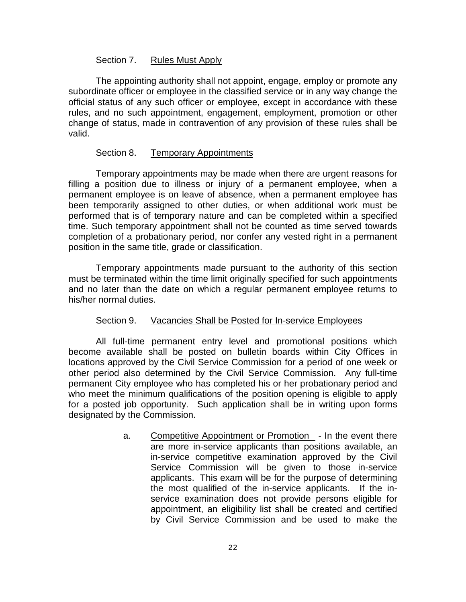### Section 7. Rules Must Apply

The appointing authority shall not appoint, engage, employ or promote any subordinate officer or employee in the classified service or in any way change the official status of any such officer or employee, except in accordance with these rules, and no such appointment, engagement, employment, promotion or other change of status, made in contravention of any provision of these rules shall be valid.

# Section 8. Temporary Appointments

Temporary appointments may be made when there are urgent reasons for filling a position due to illness or injury of a permanent employee, when a permanent employee is on leave of absence, when a permanent employee has been temporarily assigned to other duties, or when additional work must be performed that is of temporary nature and can be completed within a specified time. Such temporary appointment shall not be counted as time served towards completion of a probationary period, nor confer any vested right in a permanent position in the same title, grade or classification.

Temporary appointments made pursuant to the authority of this section must be terminated within the time limit originally specified for such appointments and no later than the date on which a regular permanent employee returns to his/her normal duties.

#### Section 9. Vacancies Shall be Posted for In-service Employees

All full-time permanent entry level and promotional positions which become available shall be posted on bulletin boards within City Offices in locations approved by the Civil Service Commission for a period of one week or other period also determined by the Civil Service Commission. Any full-time permanent City employee who has completed his or her probationary period and who meet the minimum qualifications of the position opening is eligible to apply for a posted job opportunity. Such application shall be in writing upon forms designated by the Commission.

> a. Competitive Appointment or Promotion - In the event there are more in-service applicants than positions available, an in-service competitive examination approved by the Civil Service Commission will be given to those in-service applicants. This exam will be for the purpose of determining the most qualified of the in-service applicants. If the inservice examination does not provide persons eligible for appointment, an eligibility list shall be created and certified by Civil Service Commission and be used to make the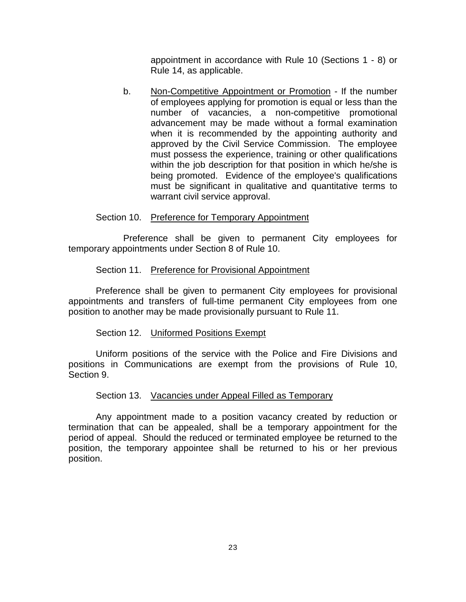appointment in accordance with Rule 10 (Sections 1 - 8) or Rule 14, as applicable.

b. Non-Competitive Appointment or Promotion - If the number of employees applying for promotion is equal or less than the number of vacancies, a non-competitive promotional advancement may be made without a formal examination when it is recommended by the appointing authority and approved by the Civil Service Commission. The employee must possess the experience, training or other qualifications within the job description for that position in which he/she is being promoted. Evidence of the employee's qualifications must be significant in qualitative and quantitative terms to warrant civil service approval.

#### Section 10. Preference for Temporary Appointment

Preference shall be given to permanent City employees for temporary appointments under Section 8 of Rule 10.

#### Section 11. Preference for Provisional Appointment

Preference shall be given to permanent City employees for provisional appointments and transfers of full-time permanent City employees from one position to another may be made provisionally pursuant to Rule 11.

#### Section 12. Uniformed Positions Exempt

Uniform positions of the service with the Police and Fire Divisions and positions in Communications are exempt from the provisions of Rule 10, Section 9.

#### Section 13. Vacancies under Appeal Filled as Temporary

Any appointment made to a position vacancy created by reduction or termination that can be appealed, shall be a temporary appointment for the period of appeal. Should the reduced or terminated employee be returned to the position, the temporary appointee shall be returned to his or her previous position.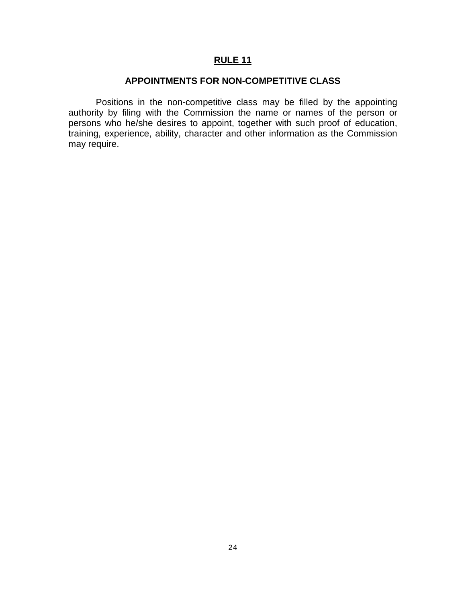## **APPOINTMENTS FOR NON-COMPETITIVE CLASS**

Positions in the non-competitive class may be filled by the appointing authority by filing with the Commission the name or names of the person or persons who he/she desires to appoint, together with such proof of education, training, experience, ability, character and other information as the Commission may require.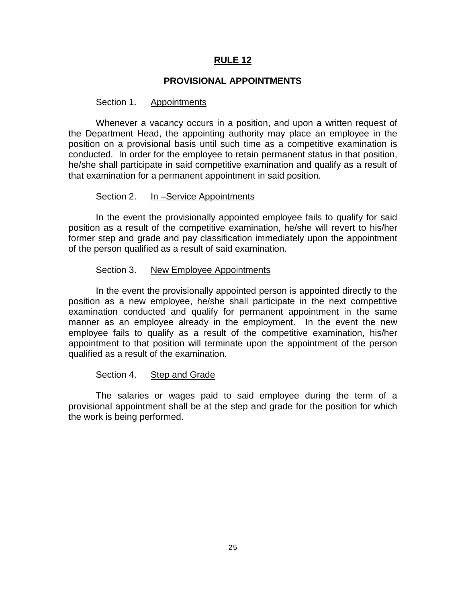#### **PROVISIONAL APPOINTMENTS**

#### Section 1. Appointments

Whenever a vacancy occurs in a position, and upon a written request of the Department Head, the appointing authority may place an employee in the position on a provisional basis until such time as a competitive examination is conducted. In order for the employee to retain permanent status in that position, he/she shall participate in said competitive examination and qualify as a result of that examination for a permanent appointment in said position.

#### Section 2. In –Service Appointments

In the event the provisionally appointed employee fails to qualify for said position as a result of the competitive examination, he/she will revert to his/her former step and grade and pay classification immediately upon the appointment of the person qualified as a result of said examination.

#### Section 3. New Employee Appointments

In the event the provisionally appointed person is appointed directly to the position as a new employee, he/she shall participate in the next competitive examination conducted and qualify for permanent appointment in the same manner as an employee already in the employment. In the event the new employee fails to qualify as a result of the competitive examination, his/her appointment to that position will terminate upon the appointment of the person qualified as a result of the examination.

#### Section 4. Step and Grade

The salaries or wages paid to said employee during the term of a provisional appointment shall be at the step and grade for the position for which the work is being performed.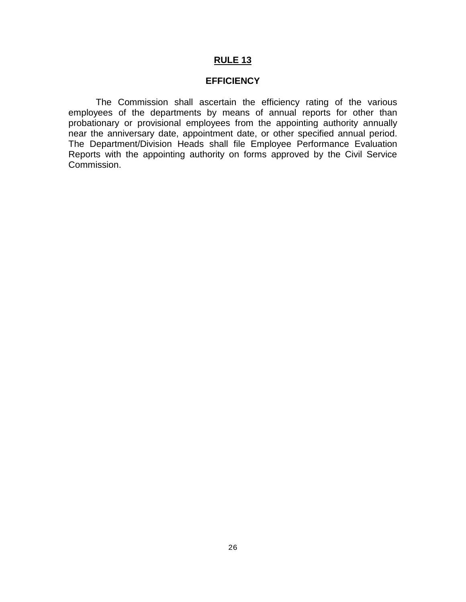#### **EFFICIENCY**

The Commission shall ascertain the efficiency rating of the various employees of the departments by means of annual reports for other than probationary or provisional employees from the appointing authority annually near the anniversary date, appointment date, or other specified annual period. The Department/Division Heads shall file Employee Performance Evaluation Reports with the appointing authority on forms approved by the Civil Service Commission.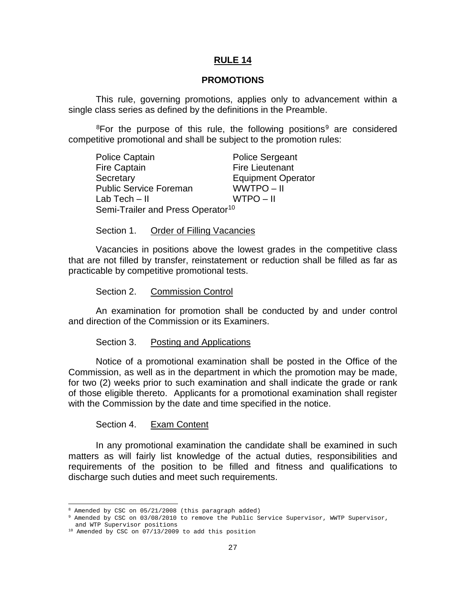#### **PROMOTIONS**

This rule, governing promotions, applies only to advancement within a single class series as defined by the definitions in the Preamble.

<sup>8</sup>For the purpose of this rule, the following positions<sup>[9](#page-28-1)</sup> are considered competitive promotional and shall be subject to the promotion rules:

| <b>Police Captain</b>                         | <b>Police Sergeant</b>    |
|-----------------------------------------------|---------------------------|
| <b>Fire Captain</b>                           | <b>Fire Lieutenant</b>    |
| Secretary                                     | <b>Equipment Operator</b> |
| <b>Public Service Foreman</b>                 | WWTPO-II                  |
| Lab Tech $-$ II                               | WTPO-II                   |
| Semi-Trailer and Press Operator <sup>10</sup> |                           |

Section 1. Order of Filling Vacancies

Vacancies in positions above the lowest grades in the competitive class that are not filled by transfer, reinstatement or reduction shall be filled as far as practicable by competitive promotional tests.

Section 2. Commission Control

An examination for promotion shall be conducted by and under control and direction of the Commission or its Examiners.

#### Section 3. Posting and Applications

Notice of a promotional examination shall be posted in the Office of the Commission, as well as in the department in which the promotion may be made, for two (2) weeks prior to such examination and shall indicate the grade or rank of those eligible thereto. Applicants for a promotional examination shall register with the Commission by the date and time specified in the notice.

Section 4. Exam Content

In any promotional examination the candidate shall be examined in such matters as will fairly list knowledge of the actual duties, responsibilities and requirements of the position to be filled and fitness and qualifications to discharge such duties and meet such requirements.

<sup>8</sup> Amended by CSC on 05/21/2008 (this paragraph added)

<span id="page-28-1"></span><span id="page-28-0"></span><sup>9</sup> Amended by CSC on 03/08/2010 to remove the Public Service Supervisor, WWTP Supervisor, and WTP Supervisor positions

<span id="page-28-2"></span><sup>&</sup>lt;sup>10</sup> Amended by CSC on 07/13/2009 to add this position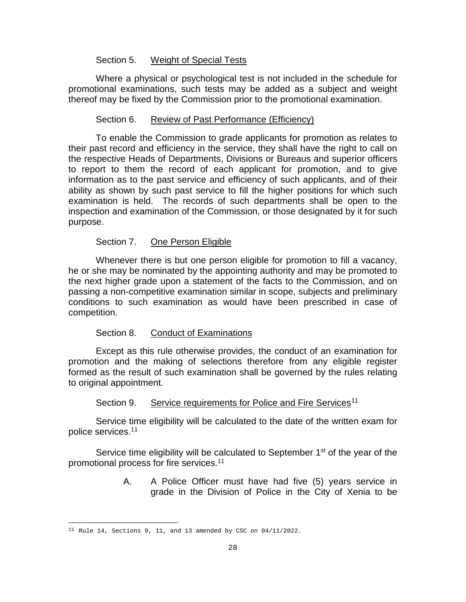#### Section 5. Weight of Special Tests

Where a physical or psychological test is not included in the schedule for promotional examinations, such tests may be added as a subject and weight thereof may be fixed by the Commission prior to the promotional examination.

## Section 6. Review of Past Performance (Efficiency)

To enable the Commission to grade applicants for promotion as relates to their past record and efficiency in the service, they shall have the right to call on the respective Heads of Departments, Divisions or Bureaus and superior officers to report to them the record of each applicant for promotion, and to give information as to the past service and efficiency of such applicants, and of their ability as shown by such past service to fill the higher positions for which such examination is held. The records of such departments shall be open to the inspection and examination of the Commission, or those designated by it for such purpose.

# Section 7. One Person Eligible

Whenever there is but one person eligible for promotion to fill a vacancy, he or she may be nominated by the appointing authority and may be promoted to the next higher grade upon a statement of the facts to the Commission, and on passing a non-competitive examination similar in scope, subjects and preliminary conditions to such examination as would have been prescribed in case of competition.

#### Section 8. Conduct of Examinations

Except as this rule otherwise provides, the conduct of an examination for promotion and the making of selections therefore from any eligible register formed as the result of such examination shall be governed by the rules relating to original appointment.

# Section 9. Service requirements for Police and Fire Services<sup>[11](#page-29-0)</sup>

Service time eligibility will be calculated to the date of the written exam for police services. 11

Service time eligibility will be calculated to September 1<sup>st</sup> of the year of the promotional process for fire services.11

> A. A Police Officer must have had five (5) years service in grade in the Division of Police in the City of Xenia to be

<span id="page-29-0"></span>ł  $11$  Rule 14, Sections 9, 11, and 13 amended by CSC on  $04/11/2022$ .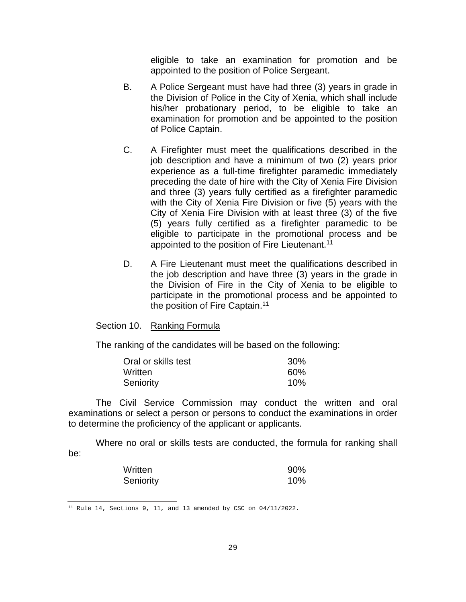eligible to take an examination for promotion and be appointed to the position of Police Sergeant.

- B. A Police Sergeant must have had three (3) years in grade in the Division of Police in the City of Xenia, which shall include his/her probationary period, to be eligible to take an examination for promotion and be appointed to the position of Police Captain.
- C. A Firefighter must meet the qualifications described in the job description and have a minimum of two (2) years prior experience as a full-time firefighter paramedic immediately preceding the date of hire with the City of Xenia Fire Division and three (3) years fully certified as a firefighter paramedic with the City of Xenia Fire Division or five (5) years with the City of Xenia Fire Division with at least three (3) of the five (5) years fully certified as a firefighter paramedic to be eligible to participate in the promotional process and be appointed to the position of Fire Lieutenant.<sup>11</sup>
- D. A Fire Lieutenant must meet the qualifications described in the job description and have three (3) years in the grade in the Division of Fire in the City of Xenia to be eligible to participate in the promotional process and be appointed to the position of Fire Captain.<sup>11</sup>

#### Section 10. Ranking Formula

The ranking of the candidates will be based on the following:

| Oral or skills test | <b>30%</b> |
|---------------------|------------|
| Written             | 60%        |
| Seniority           | 10%        |

The Civil Service Commission may conduct the written and oral examinations or select a person or persons to conduct the examinations in order to determine the proficiency of the applicant or applicants.

Where no oral or skills tests are conducted, the formula for ranking shall be:

| Written   | 90% |
|-----------|-----|
| Seniority | 10% |

<sup>&</sup>lt;sup>11</sup> Rule 14, Sections 9, 11, and 13 amended by CSC on  $04/11/2022$ .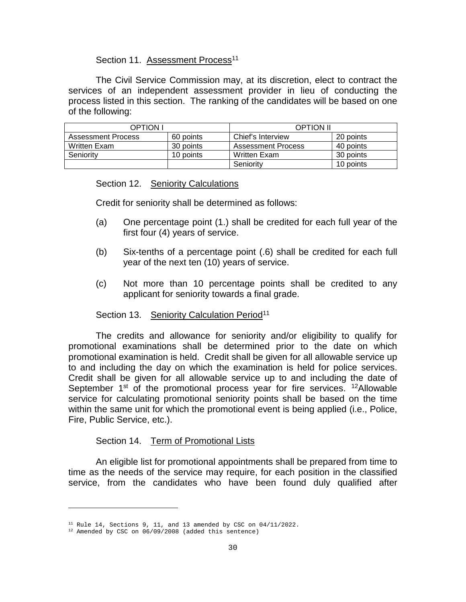#### Section 11. Assessment Process<sup>11</sup>

The Civil Service Commission may, at its discretion, elect to contract the services of an independent assessment provider in lieu of conducting the process listed in this section. The ranking of the candidates will be based on one of the following:

| OPTION I           |           | <b>OPTION II</b>   |           |
|--------------------|-----------|--------------------|-----------|
| Assessment Process | 60 points | Chief's Interview  | 20 points |
| Written Exam       | 30 points | Assessment Process | 40 points |
| Seniority          | 10 points | Written Exam       | 30 points |
|                    |           | Seniority          | 10 points |

#### Section 12. Seniority Calculations

Credit for seniority shall be determined as follows:

- (a) One percentage point (1.) shall be credited for each full year of the first four (4) years of service.
- (b) Six-tenths of a percentage point (.6) shall be credited for each full year of the next ten (10) years of service.
- (c) Not more than 10 percentage points shall be credited to any applicant for seniority towards a final grade.

#### Section 13. Seniority Calculation Period<sup>11</sup>

The credits and allowance for seniority and/or eligibility to qualify for promotional examinations shall be determined prior to the date on which promotional examination is held. Credit shall be given for all allowable service up to and including the day on which the examination is held for police services. Credit shall be given for all allowable service up to and including the date of September  $1<sup>st</sup>$  of the promotional process year for fire services. <sup>12</sup>Allowable service for calculating promotional seniority points shall be based on the time within the same unit for which the promotional event is being applied (i.e., Police, Fire, Public Service, etc.).

#### Section 14. Term of Promotional Lists

An eligible list for promotional appointments shall be prepared from time to time as the needs of the service may require, for each position in the classified service, from the candidates who have been found duly qualified after

ł

 $11$  Rule 14, Sections 9, 11, and 13 amended by CSC on  $04/11/2022$ .

<span id="page-31-0"></span><sup>12</sup> Amended by CSC on 06/09/2008 (added this sentence)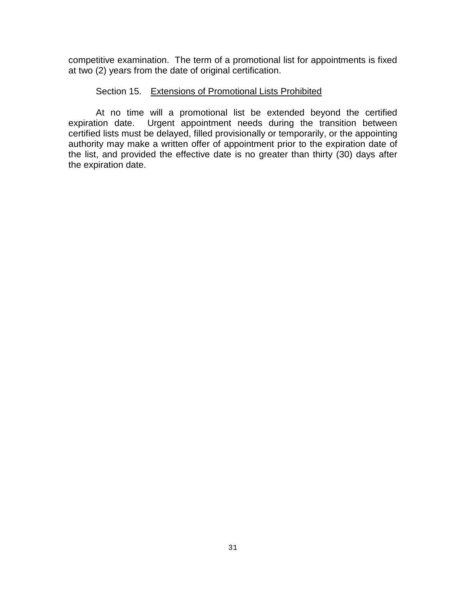competitive examination. The term of a promotional list for appointments is fixed at two (2) years from the date of original certification.

#### Section 15. Extensions of Promotional Lists Prohibited

At no time will a promotional list be extended beyond the certified expiration date. Urgent appointment needs during the transition between certified lists must be delayed, filled provisionally or temporarily, or the appointing authority may make a written offer of appointment prior to the expiration date of the list, and provided the effective date is no greater than thirty (30) days after the expiration date.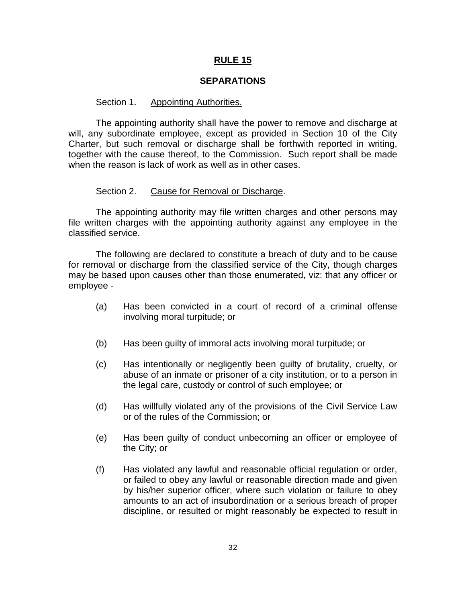#### **SEPARATIONS**

#### Section 1. Appointing Authorities.

The appointing authority shall have the power to remove and discharge at will, any subordinate employee, except as provided in Section 10 of the City Charter, but such removal or discharge shall be forthwith reported in writing, together with the cause thereof, to the Commission. Such report shall be made when the reason is lack of work as well as in other cases.

#### Section 2. Cause for Removal or Discharge.

The appointing authority may file written charges and other persons may file written charges with the appointing authority against any employee in the classified service.

The following are declared to constitute a breach of duty and to be cause for removal or discharge from the classified service of the City, though charges may be based upon causes other than those enumerated, viz: that any officer or employee -

- (a) Has been convicted in a court of record of a criminal offense involving moral turpitude; or
- (b) Has been guilty of immoral acts involving moral turpitude; or
- (c) Has intentionally or negligently been guilty of brutality, cruelty, or abuse of an inmate or prisoner of a city institution, or to a person in the legal care, custody or control of such employee; or
- (d) Has willfully violated any of the provisions of the Civil Service Law or of the rules of the Commission; or
- (e) Has been guilty of conduct unbecoming an officer or employee of the City; or
- (f) Has violated any lawful and reasonable official regulation or order, or failed to obey any lawful or reasonable direction made and given by his/her superior officer, where such violation or failure to obey amounts to an act of insubordination or a serious breach of proper discipline, or resulted or might reasonably be expected to result in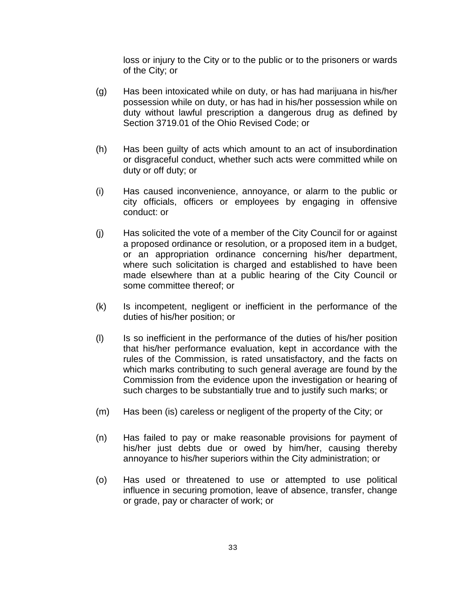loss or injury to the City or to the public or to the prisoners or wards of the City; or

- (g) Has been intoxicated while on duty, or has had marijuana in his/her possession while on duty, or has had in his/her possession while on duty without lawful prescription a dangerous drug as defined by Section 3719.01 of the Ohio Revised Code; or
- (h) Has been guilty of acts which amount to an act of insubordination or disgraceful conduct, whether such acts were committed while on duty or off duty; or
- (i) Has caused inconvenience, annoyance, or alarm to the public or city officials, officers or employees by engaging in offensive conduct: or
- (j) Has solicited the vote of a member of the City Council for or against a proposed ordinance or resolution, or a proposed item in a budget, or an appropriation ordinance concerning his/her department, where such solicitation is charged and established to have been made elsewhere than at a public hearing of the City Council or some committee thereof; or
- (k) Is incompetent, negligent or inefficient in the performance of the duties of his/her position; or
- (l) Is so inefficient in the performance of the duties of his/her position that his/her performance evaluation, kept in accordance with the rules of the Commission, is rated unsatisfactory, and the facts on which marks contributing to such general average are found by the Commission from the evidence upon the investigation or hearing of such charges to be substantially true and to justify such marks; or
- (m) Has been (is) careless or negligent of the property of the City; or
- (n) Has failed to pay or make reasonable provisions for payment of his/her just debts due or owed by him/her, causing thereby annoyance to his/her superiors within the City administration; or
- (o) Has used or threatened to use or attempted to use political influence in securing promotion, leave of absence, transfer, change or grade, pay or character of work; or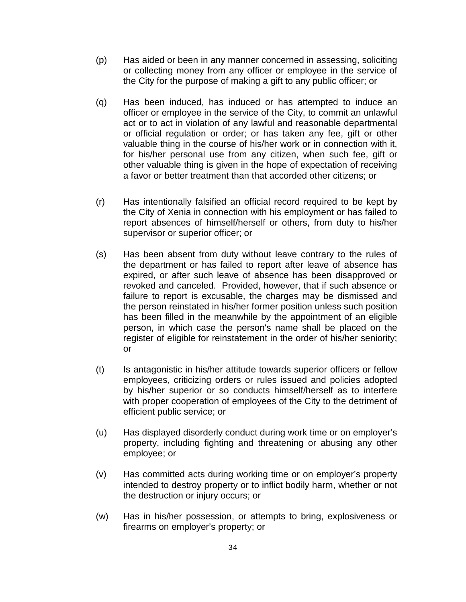- (p) Has aided or been in any manner concerned in assessing, soliciting or collecting money from any officer or employee in the service of the City for the purpose of making a gift to any public officer; or
- (q) Has been induced, has induced or has attempted to induce an officer or employee in the service of the City, to commit an unlawful act or to act in violation of any lawful and reasonable departmental or official regulation or order; or has taken any fee, gift or other valuable thing in the course of his/her work or in connection with it, for his/her personal use from any citizen, when such fee, gift or other valuable thing is given in the hope of expectation of receiving a favor or better treatment than that accorded other citizens; or
- (r) Has intentionally falsified an official record required to be kept by the City of Xenia in connection with his employment or has failed to report absences of himself/herself or others, from duty to his/her supervisor or superior officer; or
- (s) Has been absent from duty without leave contrary to the rules of the department or has failed to report after leave of absence has expired, or after such leave of absence has been disapproved or revoked and canceled. Provided, however, that if such absence or failure to report is excusable, the charges may be dismissed and the person reinstated in his/her former position unless such position has been filled in the meanwhile by the appointment of an eligible person, in which case the person's name shall be placed on the register of eligible for reinstatement in the order of his/her seniority; or
- (t) Is antagonistic in his/her attitude towards superior officers or fellow employees, criticizing orders or rules issued and policies adopted by his/her superior or so conducts himself/herself as to interfere with proper cooperation of employees of the City to the detriment of efficient public service; or
- (u) Has displayed disorderly conduct during work time or on employer's property, including fighting and threatening or abusing any other employee; or
- (v) Has committed acts during working time or on employer's property intended to destroy property or to inflict bodily harm, whether or not the destruction or injury occurs; or
- (w) Has in his/her possession, or attempts to bring, explosiveness or firearms on employer's property; or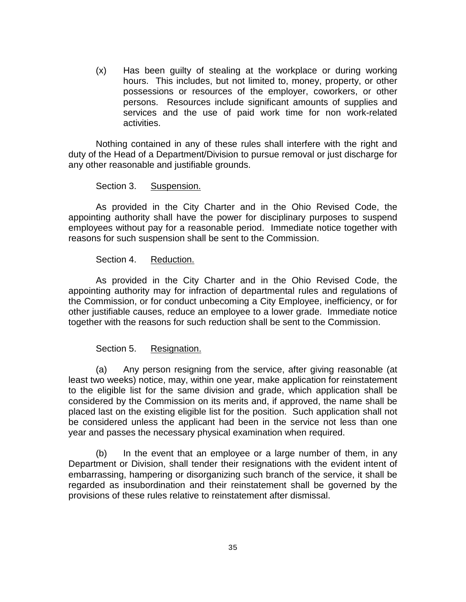(x) Has been guilty of stealing at the workplace or during working hours. This includes, but not limited to, money, property, or other possessions or resources of the employer, coworkers, or other persons. Resources include significant amounts of supplies and services and the use of paid work time for non work-related activities.

Nothing contained in any of these rules shall interfere with the right and duty of the Head of a Department/Division to pursue removal or just discharge for any other reasonable and justifiable grounds.

#### Section 3. Suspension.

As provided in the City Charter and in the Ohio Revised Code, the appointing authority shall have the power for disciplinary purposes to suspend employees without pay for a reasonable period. Immediate notice together with reasons for such suspension shall be sent to the Commission.

#### Section 4. Reduction.

As provided in the City Charter and in the Ohio Revised Code, the appointing authority may for infraction of departmental rules and regulations of the Commission, or for conduct unbecoming a City Employee, inefficiency, or for other justifiable causes, reduce an employee to a lower grade. Immediate notice together with the reasons for such reduction shall be sent to the Commission.

## Section 5. Resignation.

(a) Any person resigning from the service, after giving reasonable (at least two weeks) notice, may, within one year, make application for reinstatement to the eligible list for the same division and grade, which application shall be considered by the Commission on its merits and, if approved, the name shall be placed last on the existing eligible list for the position. Such application shall not be considered unless the applicant had been in the service not less than one year and passes the necessary physical examination when required.

(b) In the event that an employee or a large number of them, in any Department or Division, shall tender their resignations with the evident intent of embarrassing, hampering or disorganizing such branch of the service, it shall be regarded as insubordination and their reinstatement shall be governed by the provisions of these rules relative to reinstatement after dismissal.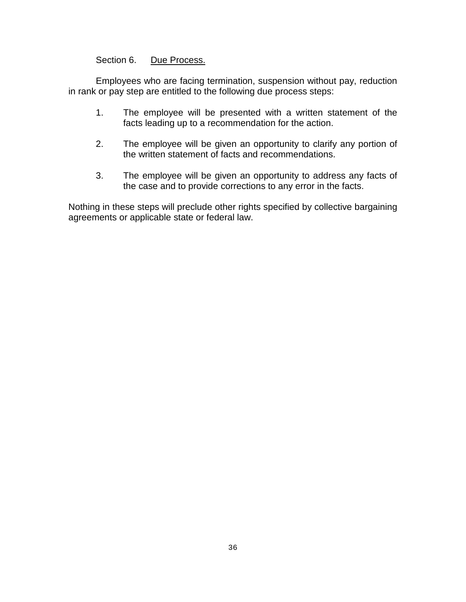# Section 6. Due Process.

Employees who are facing termination, suspension without pay, reduction in rank or pay step are entitled to the following due process steps:

- 1. The employee will be presented with a written statement of the facts leading up to a recommendation for the action.
- 2. The employee will be given an opportunity to clarify any portion of the written statement of facts and recommendations.
- 3. The employee will be given an opportunity to address any facts of the case and to provide corrections to any error in the facts.

Nothing in these steps will preclude other rights specified by collective bargaining agreements or applicable state or federal law.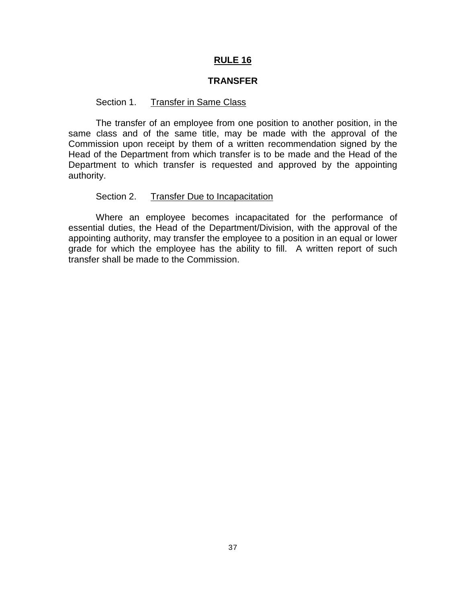#### **TRANSFER**

#### Section 1. Transfer in Same Class

The transfer of an employee from one position to another position, in the same class and of the same title, may be made with the approval of the Commission upon receipt by them of a written recommendation signed by the Head of the Department from which transfer is to be made and the Head of the Department to which transfer is requested and approved by the appointing authority.

#### Section 2. Transfer Due to Incapacitation

Where an employee becomes incapacitated for the performance of essential duties, the Head of the Department/Division, with the approval of the appointing authority, may transfer the employee to a position in an equal or lower grade for which the employee has the ability to fill. A written report of such transfer shall be made to the Commission.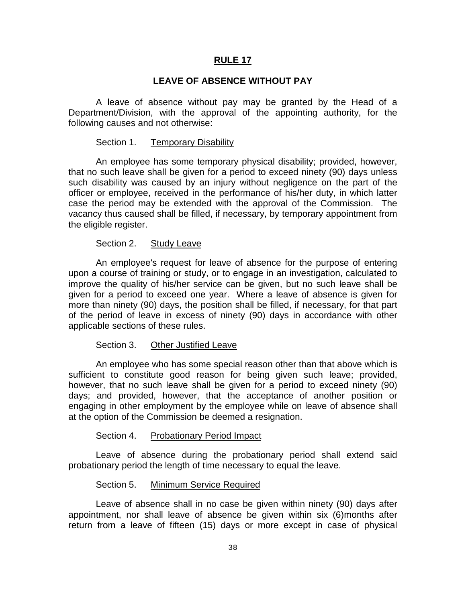#### **LEAVE OF ABSENCE WITHOUT PAY**

A leave of absence without pay may be granted by the Head of a Department/Division, with the approval of the appointing authority, for the following causes and not otherwise:

#### Section 1. Temporary Disability

An employee has some temporary physical disability; provided, however, that no such leave shall be given for a period to exceed ninety (90) days unless such disability was caused by an injury without negligence on the part of the officer or employee, received in the performance of his/her duty, in which latter case the period may be extended with the approval of the Commission. The vacancy thus caused shall be filled, if necessary, by temporary appointment from the eligible register.

#### Section 2. Study Leave

An employee's request for leave of absence for the purpose of entering upon a course of training or study, or to engage in an investigation, calculated to improve the quality of his/her service can be given, but no such leave shall be given for a period to exceed one year. Where a leave of absence is given for more than ninety (90) days, the position shall be filled, if necessary, for that part of the period of leave in excess of ninety (90) days in accordance with other applicable sections of these rules.

#### Section 3. Other Justified Leave

An employee who has some special reason other than that above which is sufficient to constitute good reason for being given such leave; provided, however, that no such leave shall be given for a period to exceed ninety (90) days; and provided, however, that the acceptance of another position or engaging in other employment by the employee while on leave of absence shall at the option of the Commission be deemed a resignation.

#### Section 4. Probationary Period Impact

Leave of absence during the probationary period shall extend said probationary period the length of time necessary to equal the leave.

#### Section 5. Minimum Service Required

Leave of absence shall in no case be given within ninety (90) days after appointment, nor shall leave of absence be given within six (6)months after return from a leave of fifteen (15) days or more except in case of physical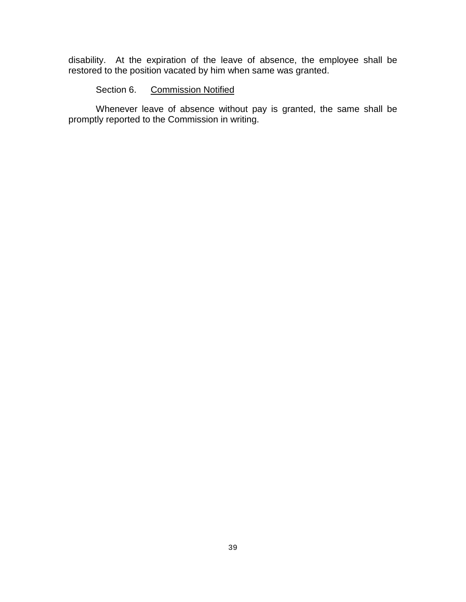disability. At the expiration of the leave of absence, the employee shall be restored to the position vacated by him when same was granted.

# Section 6. Commission Notified

Whenever leave of absence without pay is granted, the same shall be promptly reported to the Commission in writing.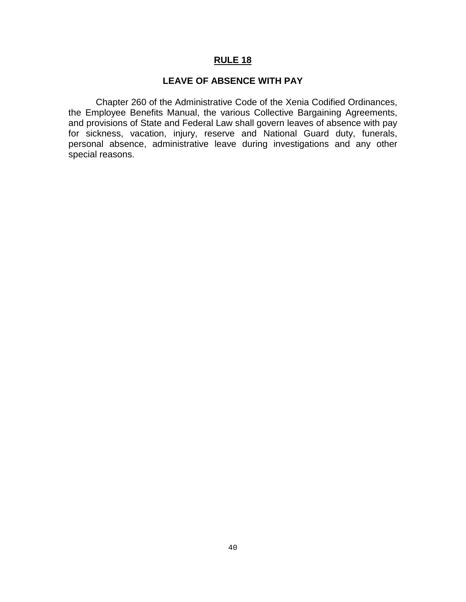## **LEAVE OF ABSENCE WITH PAY**

Chapter 260 of the Administrative Code of the Xenia Codified Ordinances, the Employee Benefits Manual, the various Collective Bargaining Agreements, and provisions of State and Federal Law shall govern leaves of absence with pay for sickness, vacation, injury, reserve and National Guard duty, funerals, personal absence, administrative leave during investigations and any other special reasons.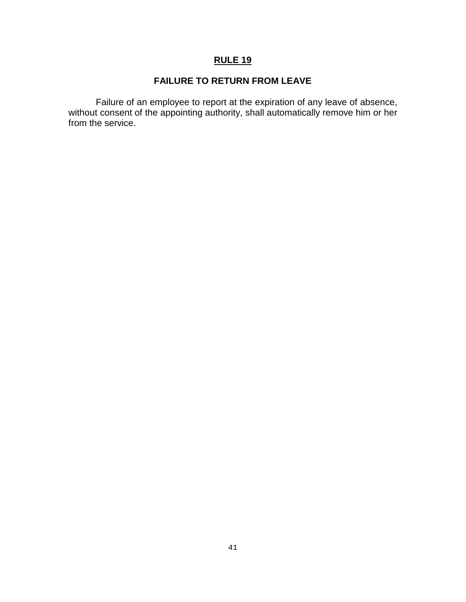# **FAILURE TO RETURN FROM LEAVE**

Failure of an employee to report at the expiration of any leave of absence, without consent of the appointing authority, shall automatically remove him or her from the service.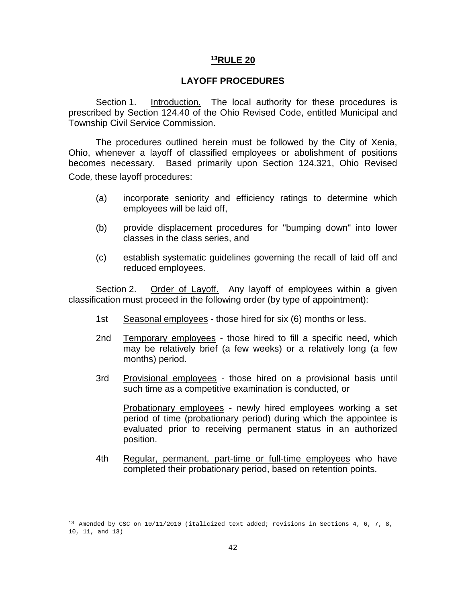#### **LAYOFF PROCEDURES**

Section 1. Introduction. The local authority for these procedures is prescribed by Section 124.40 of the Ohio Revised Code, entitled Municipal and Township Civil Service Commission.

The procedures outlined herein must be followed by the City of Xenia, Ohio, whenever a layoff of classified employees or abolishment of positions becomes necessary. Based primarily upon Section 124.321, Ohio Revised Code, these layoff procedures:

- (a) incorporate seniority and efficiency ratings to determine which employees will be laid off,
- (b) provide displacement procedures for "bumping down" into lower classes in the class series, and
- (c) establish systematic guidelines governing the recall of laid off and reduced employees.

Section 2. Order of Layoff. Any layoff of employees within a given classification must proceed in the following order (by type of appointment):

- 1st Seasonal employees those hired for six (6) months or less.
- 2nd Temporary employees those hired to fill a specific need, which may be relatively brief (a few weeks) or a relatively long (a few months) period.
- 3rd Provisional employees those hired on a provisional basis until such time as a competitive examination is conducted, or

Probationary employees - newly hired employees working a set period of time (probationary period) during which the appointee is evaluated prior to receiving permanent status in an authorized position.

4th Regular, permanent, part-time or full-time employees who have completed their probationary period, based on retention points.

<span id="page-43-0"></span><sup>&</sup>lt;sup>13</sup> Amended by CSC on  $10/11/2010$  (italicized text added; revisions in Sections 4, 6, 7, 8, 10, 11, and 13)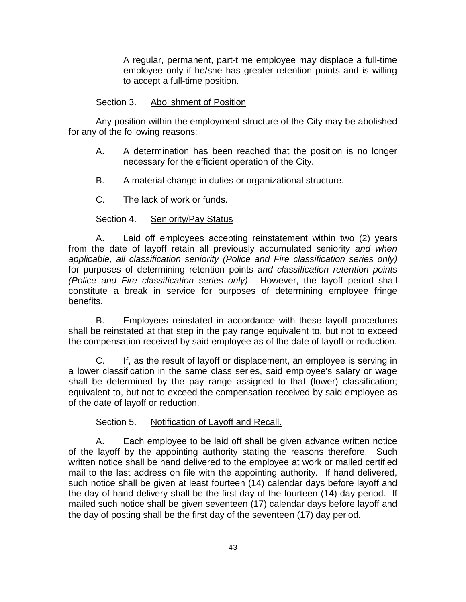A regular, permanent, part-time employee may displace a full-time employee only if he/she has greater retention points and is willing to accept a full-time position.

#### Section 3. Abolishment of Position

Any position within the employment structure of the City may be abolished for any of the following reasons:

- A. A determination has been reached that the position is no longer necessary for the efficient operation of the City.
- B. A material change in duties or organizational structure.
- C. The lack of work or funds.

# Section 4. Seniority/Pay Status

A. Laid off employees accepting reinstatement within two (2) years from the date of layoff retain all previously accumulated seniority *and when applicable, all classification seniority (Police and Fire classification series only)* for purposes of determining retention points *and classification retention points (Police and Fire classification series only)*. However, the layoff period shall constitute a break in service for purposes of determining employee fringe benefits.

B. Employees reinstated in accordance with these layoff procedures shall be reinstated at that step in the pay range equivalent to, but not to exceed the compensation received by said employee as of the date of layoff or reduction.

C. If, as the result of layoff or displacement, an employee is serving in a lower classification in the same class series, said employee's salary or wage shall be determined by the pay range assigned to that (lower) classification; equivalent to, but not to exceed the compensation received by said employee as of the date of layoff or reduction.

#### Section 5. Notification of Layoff and Recall.

A. Each employee to be laid off shall be given advance written notice of the layoff by the appointing authority stating the reasons therefore. Such written notice shall be hand delivered to the employee at work or mailed certified mail to the last address on file with the appointing authority. If hand delivered, such notice shall be given at least fourteen (14) calendar days before layoff and the day of hand delivery shall be the first day of the fourteen (14) day period. If mailed such notice shall be given seventeen (17) calendar days before layoff and the day of posting shall be the first day of the seventeen (17) day period.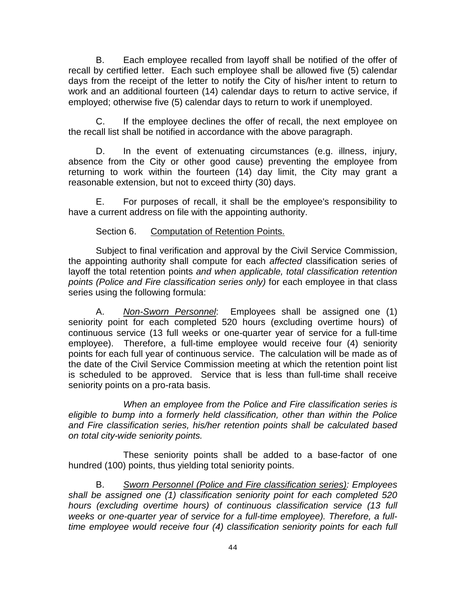B. Each employee recalled from layoff shall be notified of the offer of recall by certified letter. Each such employee shall be allowed five (5) calendar days from the receipt of the letter to notify the City of his/her intent to return to work and an additional fourteen (14) calendar days to return to active service, if employed; otherwise five (5) calendar days to return to work if unemployed.

C. If the employee declines the offer of recall, the next employee on the recall list shall be notified in accordance with the above paragraph.

D. In the event of extenuating circumstances (e.g. illness, injury, absence from the City or other good cause) preventing the employee from returning to work within the fourteen (14) day limit, the City may grant a reasonable extension, but not to exceed thirty (30) days.

E. For purposes of recall, it shall be the employee's responsibility to have a current address on file with the appointing authority.

# Section 6. Computation of Retention Points.

Subject to final verification and approval by the Civil Service Commission, the appointing authority shall compute for each *affected* classification series of layoff the total retention points *and when applicable, total classification retention points (Police and Fire classification series only)* for each employee in that class series using the following formula:

A. *Non-Sworn Personnel*: Employees shall be assigned one (1) seniority point for each completed 520 hours (excluding overtime hours) of continuous service (13 full weeks or one-quarter year of service for a full-time employee). Therefore, a full-time employee would receive four (4) seniority points for each full year of continuous service. The calculation will be made as of the date of the Civil Service Commission meeting at which the retention point list is scheduled to be approved. Service that is less than full-time shall receive seniority points on a pro-rata basis.

*When an employee from the Police and Fire classification series is eligible to bump into a formerly held classification, other than within the Police and Fire classification series, his/her retention points shall be calculated based on total city-wide seniority points.*

These seniority points shall be added to a base-factor of one hundred (100) points, thus yielding total seniority points.

B. *Sworn Personnel (Police and Fire classification series): Employees shall be assigned one (1) classification seniority point for each completed 520 hours (excluding overtime hours) of continuous classification service (13 full weeks or one-quarter year of service for a full-time employee). Therefore, a fulltime employee would receive four (4) classification seniority points for each full*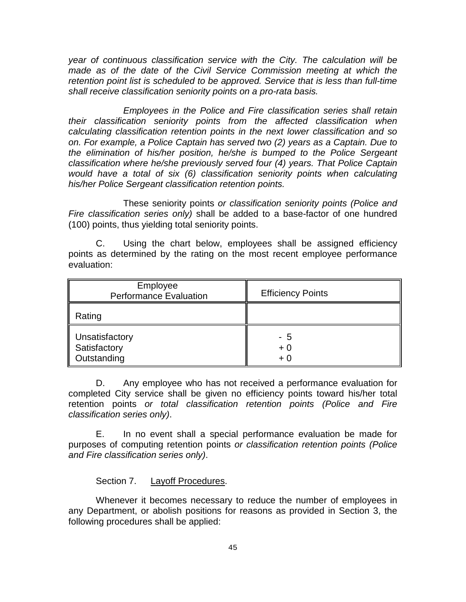*year of continuous classification service with the City. The calculation will be made as of the date of the Civil Service Commission meeting at which the retention point list is scheduled to be approved. Service that is less than full-time shall receive classification seniority points on a pro-rata basis.*

*Employees in the Police and Fire classification series shall retain their classification seniority points from the affected classification when calculating classification retention points in the next lower classification and so on. For example, a Police Captain has served two (2) years as a Captain. Due to the elimination of his/her position, he/she is bumped to the Police Sergeant classification where he/she previously served four (4) years. That Police Captain would have a total of six (6) classification seniority points when calculating his/her Police Sergeant classification retention points.* 

These seniority points *or classification seniority points (Police and Fire classification series only)* shall be added to a base-factor of one hundred (100) points, thus yielding total seniority points.

C. Using the chart below, employees shall be assigned efficiency points as determined by the rating on the most recent employee performance evaluation:

| Employee<br><b>Performance Evaluation</b>     | <b>Efficiency Points</b> |
|-----------------------------------------------|--------------------------|
| Rating                                        |                          |
| Unsatisfactory<br>Satisfactory<br>Outstanding | - 5<br>$+0$<br>$+0$      |

D. Any employee who has not received a performance evaluation for completed City service shall be given no efficiency points toward his/her total retention points *or total classification retention points (Police and Fire classification series only)*.

E. In no event shall a special performance evaluation be made for purposes of computing retention points *or classification retention points (Police and Fire classification series only)*.

Section 7. Layoff Procedures.

Whenever it becomes necessary to reduce the number of employees in any Department, or abolish positions for reasons as provided in Section 3, the following procedures shall be applied: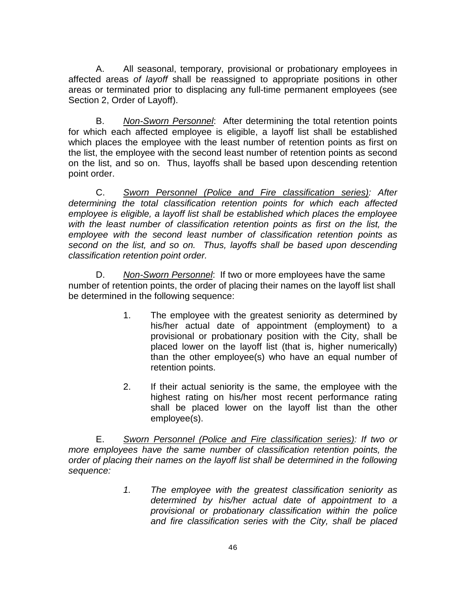A. All seasonal, temporary, provisional or probationary employees in affected areas *of layoff* shall be reassigned to appropriate positions in other areas or terminated prior to displacing any full-time permanent employees (see Section 2, Order of Layoff).

B. *Non-Sworn Personnel*: After determining the total retention points for which each affected employee is eligible, a layoff list shall be established which places the employee with the least number of retention points as first on the list, the employee with the second least number of retention points as second on the list, and so on. Thus, layoffs shall be based upon descending retention point order.

C. *Sworn Personnel (Police and Fire classification series): After determining the total classification retention points for which each affected employee is eligible, a layoff list shall be established which places the employee*  with the least number of classification retention points as first on the list, the *employee with the second least number of classification retention points as second on the list, and so on. Thus, layoffs shall be based upon descending classification retention point order.*

D. *Non-Sworn Personnel*: If two or more employees have the same number of retention points, the order of placing their names on the layoff list shall be determined in the following sequence:

- 1. The employee with the greatest seniority as determined by his/her actual date of appointment (employment) to a provisional or probationary position with the City, shall be placed lower on the layoff list (that is, higher numerically) than the other employee(s) who have an equal number of retention points.
- 2. If their actual seniority is the same, the employee with the highest rating on his/her most recent performance rating shall be placed lower on the layoff list than the other employee(s).

E. *Sworn Personnel (Police and Fire classification series): If two or more employees have the same number of classification retention points, the order of placing their names on the layoff list shall be determined in the following sequence:*

> *1. The employee with the greatest classification seniority as determined by his/her actual date of appointment to a provisional or probationary classification within the police and fire classification series with the City, shall be placed*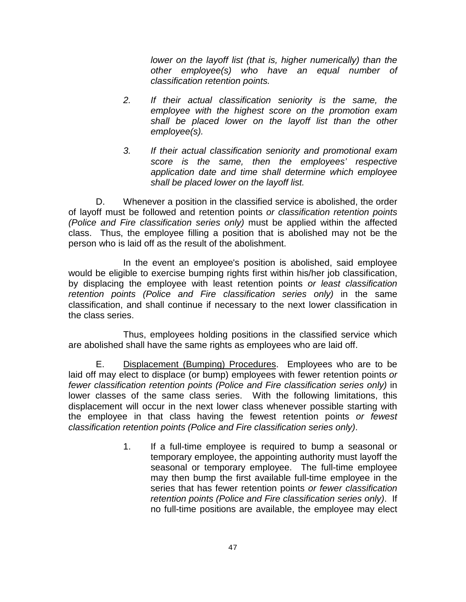*lower on the layoff list (that is, higher numerically) than the other employee(s) who have an equal number of classification retention points.*

- *2. If their actual classification seniority is the same, the employee with the highest score on the promotion exam shall be placed lower on the layoff list than the other employee(s).*
- *3. If their actual classification seniority and promotional exam score is the same, then the employees' respective application date and time shall determine which employee shall be placed lower on the layoff list.*

D. Whenever a position in the classified service is abolished, the order of layoff must be followed and retention points *or classification retention points (Police and Fire classification series only)* must be applied within the affected class. Thus, the employee filling a position that is abolished may not be the person who is laid off as the result of the abolishment.

In the event an employee's position is abolished, said employee would be eligible to exercise bumping rights first within his/her job classification, by displacing the employee with least retention points *or least classification retention points (Police and Fire classification series only)* in the same classification, and shall continue if necessary to the next lower classification in the class series.

Thus, employees holding positions in the classified service which are abolished shall have the same rights as employees who are laid off.

E. Displacement (Bumping) Procedures. Employees who are to be laid off may elect to displace (or bump) employees with fewer retention points *or fewer classification retention points (Police and Fire classification series only)* in lower classes of the same class series. With the following limitations, this displacement will occur in the next lower class whenever possible starting with the employee in that class having the fewest retention points *or fewest classification retention points (Police and Fire classification series only)*.

> 1. If a full-time employee is required to bump a seasonal or temporary employee, the appointing authority must layoff the seasonal or temporary employee. The full-time employee may then bump the first available full-time employee in the series that has fewer retention points *or fewer classification retention points (Police and Fire classification series only)*. If no full-time positions are available, the employee may elect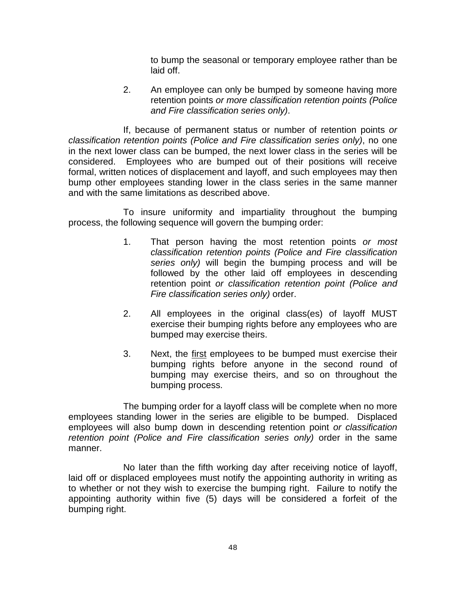to bump the seasonal or temporary employee rather than be laid off.

2. An employee can only be bumped by someone having more retention points *or more classification retention points (Police and Fire classification series only)*.

If, because of permanent status or number of retention points *or classification retention points (Police and Fire classification series only)*, no one in the next lower class can be bumped, the next lower class in the series will be considered. Employees who are bumped out of their positions will receive formal, written notices of displacement and layoff, and such employees may then bump other employees standing lower in the class series in the same manner and with the same limitations as described above.

To insure uniformity and impartiality throughout the bumping process, the following sequence will govern the bumping order:

- 1. That person having the most retention points *or most classification retention points (Police and Fire classification series only)* will begin the bumping process and will be followed by the other laid off employees in descending retention point *or classification retention point (Police and Fire classification series only)* order.
- 2. All employees in the original class(es) of layoff MUST exercise their bumping rights before any employees who are bumped may exercise theirs.
- 3. Next, the first employees to be bumped must exercise their bumping rights before anyone in the second round of bumping may exercise theirs, and so on throughout the bumping process.

The bumping order for a layoff class will be complete when no more employees standing lower in the series are eligible to be bumped. Displaced employees will also bump down in descending retention point *or classification*  retention point (Police and Fire classification series only) order in the same manner.

No later than the fifth working day after receiving notice of layoff, laid off or displaced employees must notify the appointing authority in writing as to whether or not they wish to exercise the bumping right. Failure to notify the appointing authority within five (5) days will be considered a forfeit of the bumping right.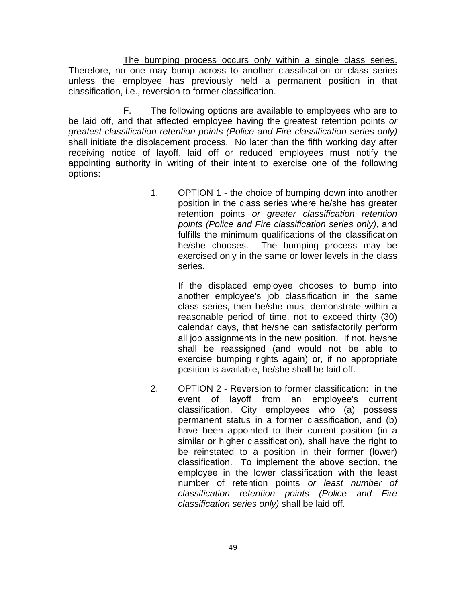The bumping process occurs only within a single class series. Therefore, no one may bump across to another classification or class series unless the employee has previously held a permanent position in that classification, i.e., reversion to former classification.

F. The following options are available to employees who are to be laid off, and that affected employee having the greatest retention points *or greatest classification retention points (Police and Fire classification series only)* shall initiate the displacement process. No later than the fifth working day after receiving notice of layoff, laid off or reduced employees must notify the appointing authority in writing of their intent to exercise one of the following options:

> 1. OPTION 1 - the choice of bumping down into another position in the class series where he/she has greater retention points *or greater classification retention points (Police and Fire classification series only)*, and fulfills the minimum qualifications of the classification he/she chooses. The bumping process may be exercised only in the same or lower levels in the class series.

> > If the displaced employee chooses to bump into another employee's job classification in the same class series, then he/she must demonstrate within a reasonable period of time, not to exceed thirty (30) calendar days, that he/she can satisfactorily perform all job assignments in the new position. If not, he/she shall be reassigned (and would not be able to exercise bumping rights again) or, if no appropriate position is available, he/she shall be laid off.

2. OPTION 2 - Reversion to former classification: in the event of layoff from an employee's current classification, City employees who (a) possess permanent status in a former classification, and (b) have been appointed to their current position (in a similar or higher classification), shall have the right to be reinstated to a position in their former (lower) classification. To implement the above section, the employee in the lower classification with the least number of retention points *or least number of classification retention points (Police and Fire classification series only)* shall be laid off.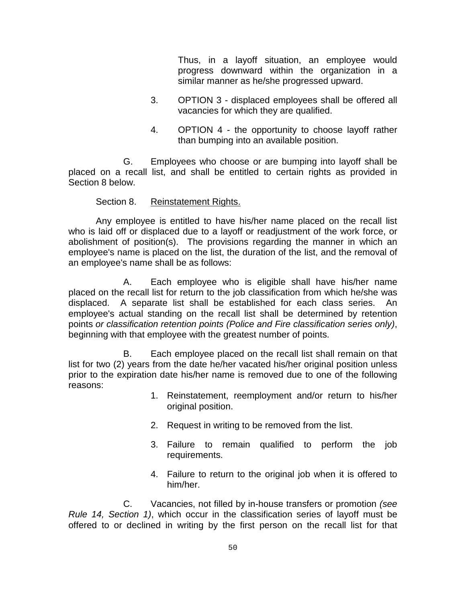Thus, in a layoff situation, an employee would progress downward within the organization in a similar manner as he/she progressed upward.

- 3. OPTION 3 displaced employees shall be offered all vacancies for which they are qualified.
- 4. OPTION 4 the opportunity to choose layoff rather than bumping into an available position.

G. Employees who choose or are bumping into layoff shall be placed on a recall list, and shall be entitled to certain rights as provided in Section 8 below.

#### Section 8. Reinstatement Rights.

Any employee is entitled to have his/her name placed on the recall list who is laid off or displaced due to a layoff or readjustment of the work force, or abolishment of position(s). The provisions regarding the manner in which an employee's name is placed on the list, the duration of the list, and the removal of an employee's name shall be as follows:

A. Each employee who is eligible shall have his/her name placed on the recall list for return to the job classification from which he/she was displaced. A separate list shall be established for each class series. An employee's actual standing on the recall list shall be determined by retention points *or classification retention points (Police and Fire classification series only)*, beginning with that employee with the greatest number of points.

B. Each employee placed on the recall list shall remain on that list for two (2) years from the date he/her vacated his/her original position unless prior to the expiration date his/her name is removed due to one of the following reasons:

- 1. Reinstatement, reemployment and/or return to his/her original position.
- 2. Request in writing to be removed from the list.
- 3. Failure to remain qualified to perform the job requirements.
- 4. Failure to return to the original job when it is offered to him/her.

C. Vacancies, not filled by in-house transfers or promotion *(see Rule 14, Section 1)*, which occur in the classification series of layoff must be offered to or declined in writing by the first person on the recall list for that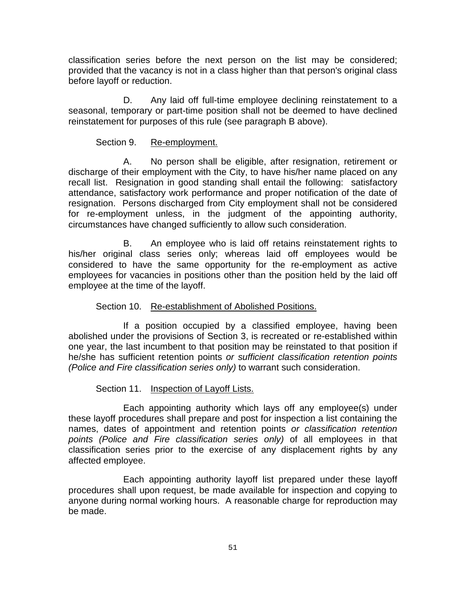classification series before the next person on the list may be considered; provided that the vacancy is not in a class higher than that person's original class before layoff or reduction.

D. Any laid off full-time employee declining reinstatement to a seasonal, temporary or part-time position shall not be deemed to have declined reinstatement for purposes of this rule (see paragraph B above).

# Section 9. Re-employment.

A. No person shall be eligible, after resignation, retirement or discharge of their employment with the City, to have his/her name placed on any recall list. Resignation in good standing shall entail the following: satisfactory attendance, satisfactory work performance and proper notification of the date of resignation. Persons discharged from City employment shall not be considered for re-employment unless, in the judgment of the appointing authority, circumstances have changed sufficiently to allow such consideration.

B. An employee who is laid off retains reinstatement rights to his/her original class series only; whereas laid off employees would be considered to have the same opportunity for the re-employment as active employees for vacancies in positions other than the position held by the laid off employee at the time of the layoff.

# Section 10. Re-establishment of Abolished Positions.

If a position occupied by a classified employee, having been abolished under the provisions of Section 3, is recreated or re-established within one year, the last incumbent to that position may be reinstated to that position if he/she has sufficient retention points *or sufficient classification retention points (Police and Fire classification series only)* to warrant such consideration.

# Section 11. Inspection of Layoff Lists.

Each appointing authority which lays off any employee(s) under these layoff procedures shall prepare and post for inspection a list containing the names, dates of appointment and retention points *or classification retention points (Police and Fire classification series only)* of all employees in that classification series prior to the exercise of any displacement rights by any affected employee.

Each appointing authority layoff list prepared under these layoff procedures shall upon request, be made available for inspection and copying to anyone during normal working hours. A reasonable charge for reproduction may be made.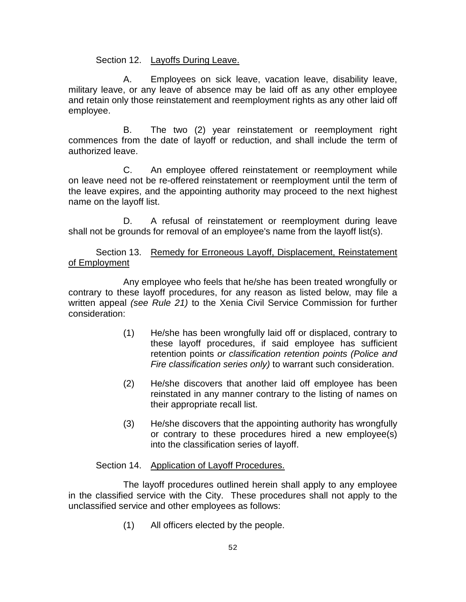Section 12. Layoffs During Leave.

A. Employees on sick leave, vacation leave, disability leave, military leave, or any leave of absence may be laid off as any other employee and retain only those reinstatement and reemployment rights as any other laid off employee.

B. The two (2) year reinstatement or reemployment right commences from the date of layoff or reduction, and shall include the term of authorized leave.

C. An employee offered reinstatement or reemployment while on leave need not be re-offered reinstatement or reemployment until the term of the leave expires, and the appointing authority may proceed to the next highest name on the layoff list.

D. A refusal of reinstatement or reemployment during leave shall not be grounds for removal of an employee's name from the layoff list(s).

Section 13. Remedy for Erroneous Layoff, Displacement, Reinstatement of Employment

Any employee who feels that he/she has been treated wrongfully or contrary to these layoff procedures, for any reason as listed below, may file a written appeal *(see Rule 21)* to the Xenia Civil Service Commission for further consideration:

- (1) He/she has been wrongfully laid off or displaced, contrary to these layoff procedures, if said employee has sufficient retention points *or classification retention points (Police and Fire classification series only)* to warrant such consideration.
- (2) He/she discovers that another laid off employee has been reinstated in any manner contrary to the listing of names on their appropriate recall list.
- (3) He/she discovers that the appointing authority has wrongfully or contrary to these procedures hired a new employee(s) into the classification series of layoff.

Section 14. Application of Layoff Procedures.

The layoff procedures outlined herein shall apply to any employee in the classified service with the City. These procedures shall not apply to the unclassified service and other employees as follows:

(1) All officers elected by the people.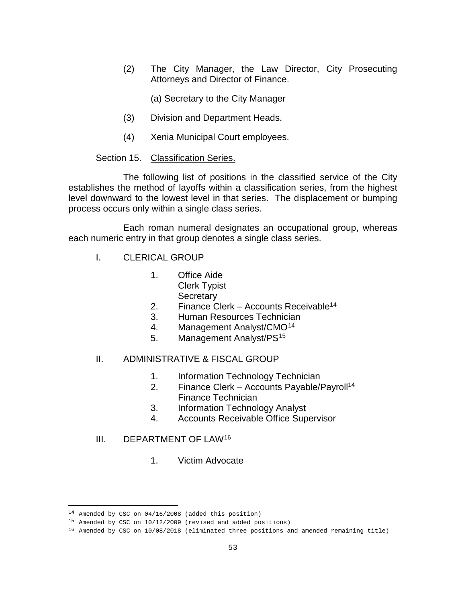(2) The City Manager, the Law Director, City Prosecuting Attorneys and Director of Finance.

(a) Secretary to the City Manager

- (3) Division and Department Heads.
- (4) Xenia Municipal Court employees.

#### Section 15. Classification Series.

The following list of positions in the classified service of the City establishes the method of layoffs within a classification series, from the highest level downward to the lowest level in that series. The displacement or bumping process occurs only within a single class series.

Each roman numeral designates an occupational group, whereas each numeric entry in that group denotes a single class series.

- I. CLERICAL GROUP
	- 1. Office Aide Clerk Typist
		- **Secretary**
	- 2. Finance Clerk Accounts Receivable<sup>14</sup>
	- 3. Human Resources Technician
	- 4. Management Analyst/CMO<sup>[14](#page-54-0)</sup>
	- 5. Management Analyst/PS<sup>[15](#page-54-1)</sup>

#### II. ADMINISTRATIVE & FISCAL GROUP

- 1. Information Technology Technician
- 2. Finance Clerk Accounts Payable/Payroll<sup>14</sup> Finance Technician
- 3. Information Technology Analyst
- 4. Accounts Receivable Office Supervisor

#### III. DEPARTMENT OF LAW[16](#page-54-2)

1. Victim Advocate

<sup>14</sup> Amended by CSC on 04/16/2008 (added this position)

<span id="page-54-1"></span><span id="page-54-0"></span><sup>15</sup> Amended by CSC on 10/12/2009 (revised and added positions)

<span id="page-54-2"></span><sup>16</sup> Amended by CSC on 10/08/2018 (eliminated three positions and amended remaining title)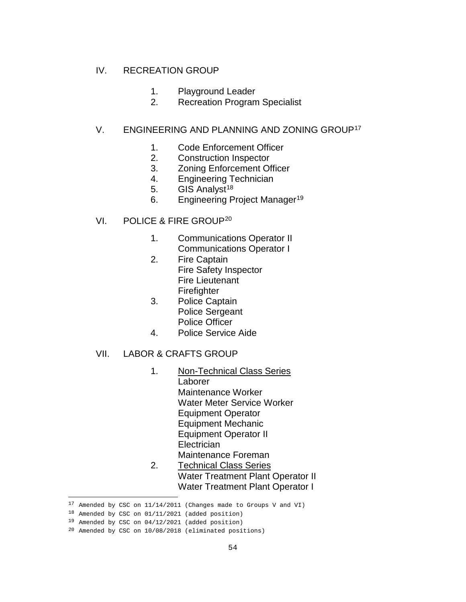#### IV. RECREATION GROUP

- 1. Playground Leader
- 2. Recreation Program Specialist

# V. ENGINEERING AND PLANNING AND ZONING GROUP<sup>[17](#page-55-0)</sup>

- 1. Code Enforcement Officer
- 2. Construction Inspector
- 3. Zoning Enforcement Officer
- 4. Engineering Technician
- 5. GIS Analyst<sup>[18](#page-55-1)</sup>
- 6. Engineering Project Manager<sup>[19](#page-55-2)</sup>
- VI. POLICE & FIRE GROUP[20](#page-55-3)
	- 1. Communications Operator II Communications Operator I
	- 2. Fire Captain Fire Safety Inspector Fire Lieutenant Firefighter
	- 3. Police Captain Police Sergeant Police Officer
	- 4. Police Service Aide

# VII. LABOR & CRAFTS GROUP

- 1. Non-Technical Class Series Laborer Maintenance Worker Water Meter Service Worker Equipment Operator Equipment Mechanic Equipment Operator II **Electrician** Maintenance Foreman 2. Technical Class Series
	- Water Treatment Plant Operator II Water Treatment Plant Operator I

 $17$  Amended by CSC on  $11/14/2011$  (Changes made to Groups V and VI)

<span id="page-55-1"></span><span id="page-55-0"></span><sup>18</sup> Amended by CSC on 01/11/2021 (added position)

<span id="page-55-2"></span><sup>19</sup> Amended by CSC on 04/12/2021 (added position)

<span id="page-55-3"></span><sup>20</sup> Amended by CSC on 10/08/2018 (eliminated positions)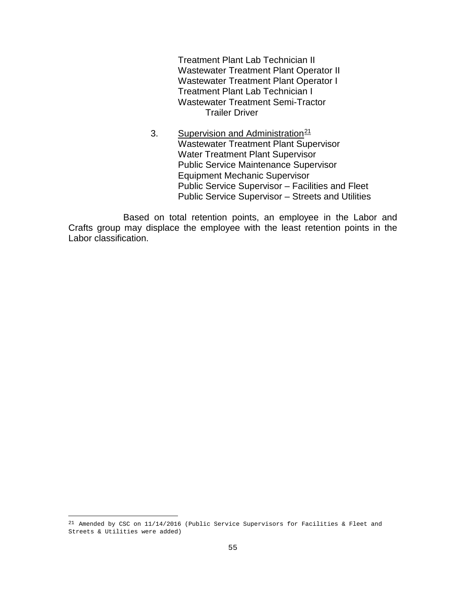Treatment Plant Lab Technician II Wastewater Treatment Plant Operator II Wastewater Treatment Plant Operator I Treatment Plant Lab Technician I Wastewater Treatment Semi-Tractor Trailer Driver

3. Supervision and Administration<sup>[21](#page-56-0)</sup> Wastewater Treatment Plant Supervisor Water Treatment Plant Supervisor Public Service Maintenance Supervisor Equipment Mechanic Supervisor Public Service Supervisor – Facilities and Fleet Public Service Supervisor – Streets and Utilities

Based on total retention points, an employee in the Labor and Crafts group may displace the employee with the least retention points in the Labor classification.

<span id="page-56-0"></span><sup>&</sup>lt;sup>21</sup> Amended by CSC on  $11/14/2016$  (Public Service Supervisors for Facilities & Fleet and Streets & Utilities were added)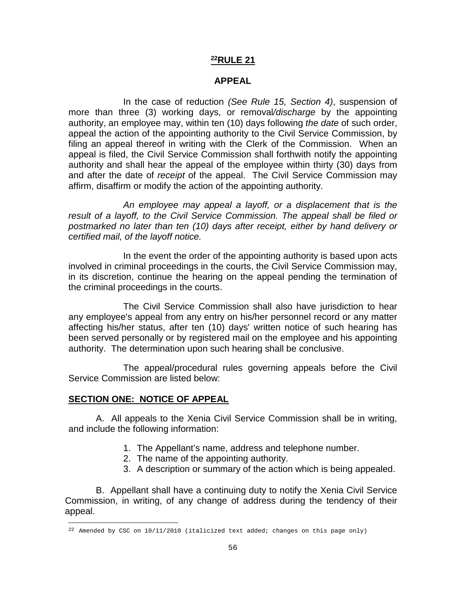#### **APPEAL**

In the case of reduction *(See Rule 15, Section 4)*, suspension of more than three (3) working days, or removal*/discharge* by the appointing authority, an employee may, within ten (10) days following *the date* of such order, appeal the action of the appointing authority to the Civil Service Commission, by filing an appeal thereof in writing with the Clerk of the Commission. When an appeal is filed, the Civil Service Commission shall forthwith notify the appointing authority and shall hear the appeal of the employee within thirty (30) days from and after the date of *receipt* of the appeal. The Civil Service Commission may affirm, disaffirm or modify the action of the appointing authority.

*An employee may appeal a layoff, or a displacement that is the*  result of a layoff, to the Civil Service Commission. The appeal shall be filed or *postmarked no later than ten (10) days after receipt, either by hand delivery or certified mail, of the layoff notice.*

In the event the order of the appointing authority is based upon acts involved in criminal proceedings in the courts, the Civil Service Commission may, in its discretion, continue the hearing on the appeal pending the termination of the criminal proceedings in the courts.

The Civil Service Commission shall also have jurisdiction to hear any employee's appeal from any entry on his/her personnel record or any matter affecting his/her status, after ten (10) days' written notice of such hearing has been served personally or by registered mail on the employee and his appointing authority. The determination upon such hearing shall be conclusive.

The appeal/procedural rules governing appeals before the Civil Service Commission are listed below:

#### **SECTION ONE: NOTICE OF APPEAL**

A. All appeals to the Xenia Civil Service Commission shall be in writing, and include the following information:

- 1. The Appellant's name, address and telephone number.
- 2. The name of the appointing authority.
- 3. A description or summary of the action which is being appealed.

B. Appellant shall have a continuing duty to notify the Xenia Civil Service Commission, in writing, of any change of address during the tendency of their appeal.

<span id="page-57-0"></span>ł  $^{22}$  Amended by CSC on 10/11/2010 (italicized text added; changes on this page only)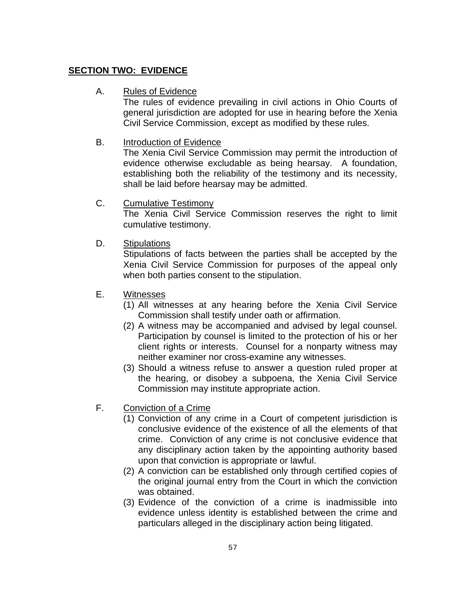# **SECTION TWO: EVIDENCE**

# A. Rules of Evidence

The rules of evidence prevailing in civil actions in Ohio Courts of general jurisdiction are adopted for use in hearing before the Xenia Civil Service Commission, except as modified by these rules.

# B. Introduction of Evidence

The Xenia Civil Service Commission may permit the introduction of evidence otherwise excludable as being hearsay. A foundation, establishing both the reliability of the testimony and its necessity, shall be laid before hearsay may be admitted.

C. Cumulative Testimony

The Xenia Civil Service Commission reserves the right to limit cumulative testimony.

D. Stipulations

Stipulations of facts between the parties shall be accepted by the Xenia Civil Service Commission for purposes of the appeal only when both parties consent to the stipulation.

- E. Witnesses
	- (1) All witnesses at any hearing before the Xenia Civil Service Commission shall testify under oath or affirmation.
	- (2) A witness may be accompanied and advised by legal counsel. Participation by counsel is limited to the protection of his or her client rights or interests. Counsel for a nonparty witness may neither examiner nor cross-examine any witnesses.
	- (3) Should a witness refuse to answer a question ruled proper at the hearing, or disobey a subpoena, the Xenia Civil Service Commission may institute appropriate action.
- F. Conviction of a Crime
	- (1) Conviction of any crime in a Court of competent jurisdiction is conclusive evidence of the existence of all the elements of that crime. Conviction of any crime is not conclusive evidence that any disciplinary action taken by the appointing authority based upon that conviction is appropriate or lawful.
	- (2) A conviction can be established only through certified copies of the original journal entry from the Court in which the conviction was obtained.
	- (3) Evidence of the conviction of a crime is inadmissible into evidence unless identity is established between the crime and particulars alleged in the disciplinary action being litigated.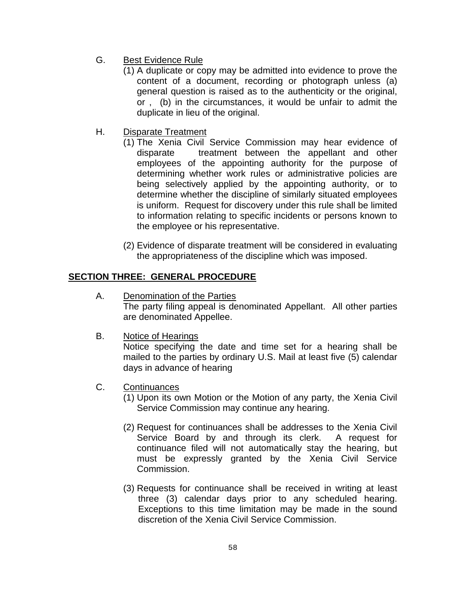- G. Best Evidence Rule
	- (1) A duplicate or copy may be admitted into evidence to prove the content of a document, recording or photograph unless (a) general question is raised as to the authenticity or the original, or , (b) in the circumstances, it would be unfair to admit the duplicate in lieu of the original.
- H. Disparate Treatment
	- (1) The Xenia Civil Service Commission may hear evidence of disparate treatment between the appellant and other employees of the appointing authority for the purpose of determining whether work rules or administrative policies are being selectively applied by the appointing authority, or to determine whether the discipline of similarly situated employees is uniform. Request for discovery under this rule shall be limited to information relating to specific incidents or persons known to the employee or his representative.
	- (2) Evidence of disparate treatment will be considered in evaluating the appropriateness of the discipline which was imposed.

# **SECTION THREE: GENERAL PROCEDURE**

- A. Denomination of the Parties The party filing appeal is denominated Appellant. All other parties are denominated Appellee.
- B. Notice of Hearings

Notice specifying the date and time set for a hearing shall be mailed to the parties by ordinary U.S. Mail at least five (5) calendar days in advance of hearing

- C. Continuances
	- (1) Upon its own Motion or the Motion of any party, the Xenia Civil Service Commission may continue any hearing.
	- (2) Request for continuances shall be addresses to the Xenia Civil Service Board by and through its clerk. A request for continuance filed will not automatically stay the hearing, but must be expressly granted by the Xenia Civil Service Commission.
	- (3) Requests for continuance shall be received in writing at least three (3) calendar days prior to any scheduled hearing. Exceptions to this time limitation may be made in the sound discretion of the Xenia Civil Service Commission.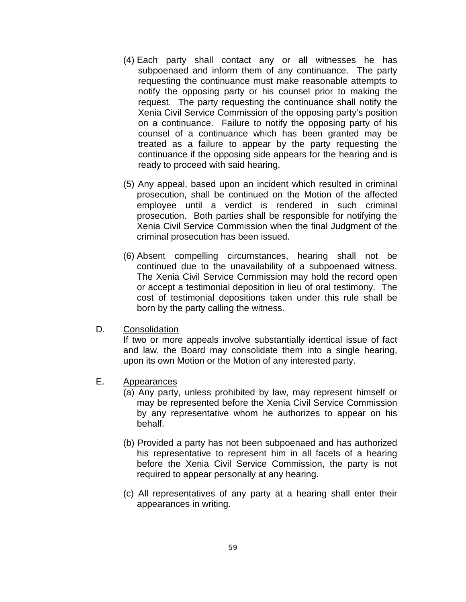- (4) Each party shall contact any or all witnesses he has subpoenaed and inform them of any continuance. The party requesting the continuance must make reasonable attempts to notify the opposing party or his counsel prior to making the request. The party requesting the continuance shall notify the Xenia Civil Service Commission of the opposing party's position on a continuance. Failure to notify the opposing party of his counsel of a continuance which has been granted may be treated as a failure to appear by the party requesting the continuance if the opposing side appears for the hearing and is ready to proceed with said hearing.
- (5) Any appeal, based upon an incident which resulted in criminal prosecution, shall be continued on the Motion of the affected employee until a verdict is rendered in such criminal prosecution. Both parties shall be responsible for notifying the Xenia Civil Service Commission when the final Judgment of the criminal prosecution has been issued.
- (6) Absent compelling circumstances, hearing shall not be continued due to the unavailability of a subpoenaed witness. The Xenia Civil Service Commission may hold the record open or accept a testimonial deposition in lieu of oral testimony. The cost of testimonial depositions taken under this rule shall be born by the party calling the witness.
- D. Consolidation

If two or more appeals involve substantially identical issue of fact and law, the Board may consolidate them into a single hearing, upon its own Motion or the Motion of any interested party.

- E. Appearances
	- (a) Any party, unless prohibited by law, may represent himself or may be represented before the Xenia Civil Service Commission by any representative whom he authorizes to appear on his behalf.
	- (b) Provided a party has not been subpoenaed and has authorized his representative to represent him in all facets of a hearing before the Xenia Civil Service Commission, the party is not required to appear personally at any hearing.
	- (c) All representatives of any party at a hearing shall enter their appearances in writing.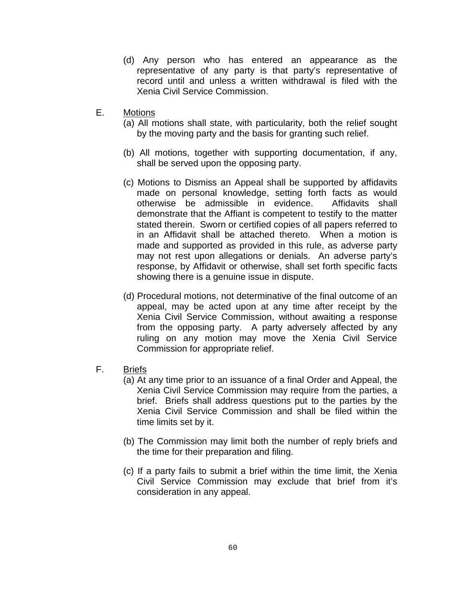- (d) Any person who has entered an appearance as the representative of any party is that party's representative of record until and unless a written withdrawal is filed with the Xenia Civil Service Commission.
- E. Motions
	- (a) All motions shall state, with particularity, both the relief sought by the moving party and the basis for granting such relief.
	- (b) All motions, together with supporting documentation, if any, shall be served upon the opposing party.
	- (c) Motions to Dismiss an Appeal shall be supported by affidavits made on personal knowledge, setting forth facts as would otherwise be admissible in evidence. Affidavits shall demonstrate that the Affiant is competent to testify to the matter stated therein. Sworn or certified copies of all papers referred to in an Affidavit shall be attached thereto. When a motion is made and supported as provided in this rule, as adverse party may not rest upon allegations or denials. An adverse party's response, by Affidavit or otherwise, shall set forth specific facts showing there is a genuine issue in dispute.
	- (d) Procedural motions, not determinative of the final outcome of an appeal, may be acted upon at any time after receipt by the Xenia Civil Service Commission, without awaiting a response from the opposing party. A party adversely affected by any ruling on any motion may move the Xenia Civil Service Commission for appropriate relief.
- F. Briefs
	- (a) At any time prior to an issuance of a final Order and Appeal, the Xenia Civil Service Commission may require from the parties, a brief. Briefs shall address questions put to the parties by the Xenia Civil Service Commission and shall be filed within the time limits set by it.
	- (b) The Commission may limit both the number of reply briefs and the time for their preparation and filing.
	- (c) If a party fails to submit a brief within the time limit, the Xenia Civil Service Commission may exclude that brief from it's consideration in any appeal.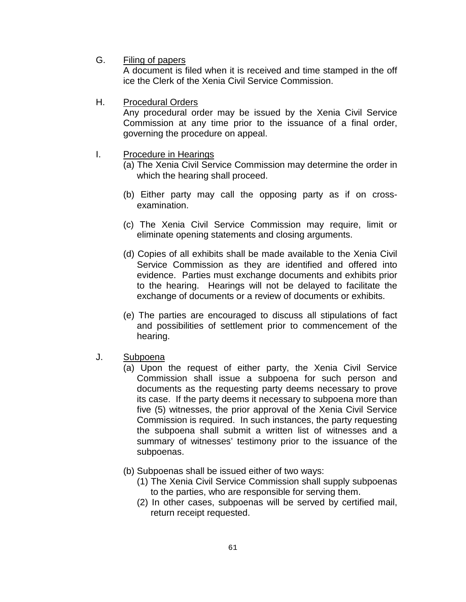G. Filing of papers

A document is filed when it is received and time stamped in the off ice the Clerk of the Xenia Civil Service Commission.

H. Procedural Orders

Any procedural order may be issued by the Xenia Civil Service Commission at any time prior to the issuance of a final order, governing the procedure on appeal.

- I. Procedure in Hearings
	- (a) The Xenia Civil Service Commission may determine the order in which the hearing shall proceed.
	- (b) Either party may call the opposing party as if on crossexamination.
	- (c) The Xenia Civil Service Commission may require, limit or eliminate opening statements and closing arguments.
	- (d) Copies of all exhibits shall be made available to the Xenia Civil Service Commission as they are identified and offered into evidence. Parties must exchange documents and exhibits prior to the hearing. Hearings will not be delayed to facilitate the exchange of documents or a review of documents or exhibits.
	- (e) The parties are encouraged to discuss all stipulations of fact and possibilities of settlement prior to commencement of the hearing.
- J. Subpoena
	- (a) Upon the request of either party, the Xenia Civil Service Commission shall issue a subpoena for such person and documents as the requesting party deems necessary to prove its case. If the party deems it necessary to subpoena more than five (5) witnesses, the prior approval of the Xenia Civil Service Commission is required. In such instances, the party requesting the subpoena shall submit a written list of witnesses and a summary of witnesses' testimony prior to the issuance of the subpoenas.
	- (b) Subpoenas shall be issued either of two ways:
		- (1) The Xenia Civil Service Commission shall supply subpoenas to the parties, who are responsible for serving them.
		- (2) In other cases, subpoenas will be served by certified mail, return receipt requested.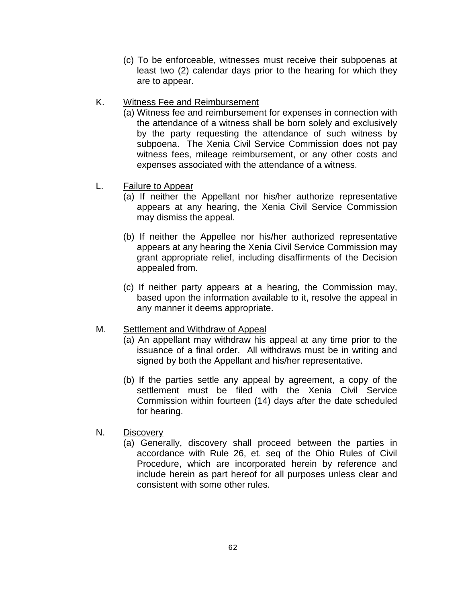- (c) To be enforceable, witnesses must receive their subpoenas at least two (2) calendar days prior to the hearing for which they are to appear.
- K. Witness Fee and Reimbursement
	- (a) Witness fee and reimbursement for expenses in connection with the attendance of a witness shall be born solely and exclusively by the party requesting the attendance of such witness by subpoena. The Xenia Civil Service Commission does not pay witness fees, mileage reimbursement, or any other costs and expenses associated with the attendance of a witness.
- L. Failure to Appear
	- (a) If neither the Appellant nor his/her authorize representative appears at any hearing, the Xenia Civil Service Commission may dismiss the appeal.
	- (b) If neither the Appellee nor his/her authorized representative appears at any hearing the Xenia Civil Service Commission may grant appropriate relief, including disaffirments of the Decision appealed from.
	- (c) If neither party appears at a hearing, the Commission may, based upon the information available to it, resolve the appeal in any manner it deems appropriate.

#### M. Settlement and Withdraw of Appeal

- (a) An appellant may withdraw his appeal at any time prior to the issuance of a final order. All withdraws must be in writing and signed by both the Appellant and his/her representative.
- (b) If the parties settle any appeal by agreement, a copy of the settlement must be filed with the Xenia Civil Service Commission within fourteen (14) days after the date scheduled for hearing.
- N. Discovery
	- (a) Generally, discovery shall proceed between the parties in accordance with Rule 26, et. seq of the Ohio Rules of Civil Procedure, which are incorporated herein by reference and include herein as part hereof for all purposes unless clear and consistent with some other rules.